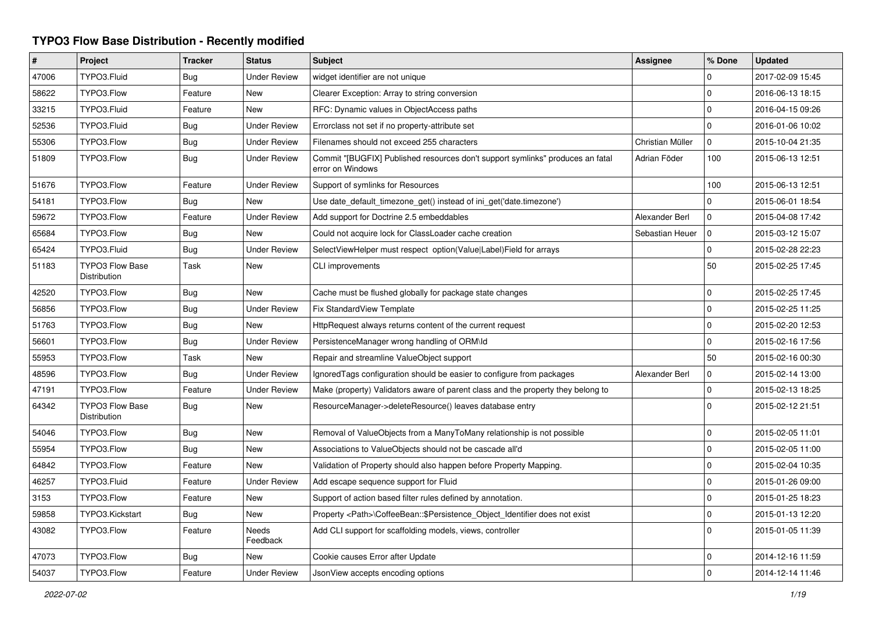## **TYPO3 Flow Base Distribution - Recently modified**

| $\vert$ # | Project                                | <b>Tracker</b> | <b>Status</b>       | <b>Subject</b>                                                                                     | Assignee         | % Done      | <b>Updated</b>   |
|-----------|----------------------------------------|----------------|---------------------|----------------------------------------------------------------------------------------------------|------------------|-------------|------------------|
| 47006     | TYPO3.Fluid                            | <b>Bug</b>     | <b>Under Review</b> | widget identifier are not unique                                                                   |                  | 0           | 2017-02-09 15:45 |
| 58622     | TYPO3.Flow                             | Feature        | <b>New</b>          | Clearer Exception: Array to string conversion                                                      |                  | $\mathbf 0$ | 2016-06-13 18:15 |
| 33215     | TYPO3.Fluid                            | Feature        | New                 | RFC: Dynamic values in ObjectAccess paths                                                          |                  | $\mathbf 0$ | 2016-04-15 09:26 |
| 52536     | TYPO3.Fluid                            | Bug            | <b>Under Review</b> | Errorclass not set if no property-attribute set                                                    |                  | 0           | 2016-01-06 10:02 |
| 55306     | TYPO3.Flow                             | Bug            | <b>Under Review</b> | Filenames should not exceed 255 characters                                                         | Christian Müller | $\mathbf 0$ | 2015-10-04 21:35 |
| 51809     | TYPO3.Flow                             | Bug            | <b>Under Review</b> | Commit "[BUGFIX] Published resources don't support symlinks" produces an fatal<br>error on Windows | Adrian Föder     | 100         | 2015-06-13 12:51 |
| 51676     | TYPO3.Flow                             | Feature        | <b>Under Review</b> | Support of symlinks for Resources                                                                  |                  | 100         | 2015-06-13 12:51 |
| 54181     | TYPO3.Flow                             | Bug            | <b>New</b>          | Use date default timezone get() instead of ini get('date.timezone')                                |                  | 0           | 2015-06-01 18:54 |
| 59672     | TYPO3.Flow                             | Feature        | <b>Under Review</b> | Add support for Doctrine 2.5 embeddables                                                           | Alexander Berl   | 0           | 2015-04-08 17:42 |
| 65684     | TYPO3.Flow                             | Bug            | <b>New</b>          | Could not acquire lock for ClassLoader cache creation                                              | Sebastian Heuer  | $\mathbf 0$ | 2015-03-12 15:07 |
| 65424     | TYPO3.Fluid                            | <b>Bug</b>     | <b>Under Review</b> | SelectViewHelper must respect option(Value Label)Field for arrays                                  |                  | 0           | 2015-02-28 22:23 |
| 51183     | <b>TYPO3 Flow Base</b><br>Distribution | Task           | New                 | CLI improvements                                                                                   |                  | 50          | 2015-02-25 17:45 |
| 42520     | TYPO3.Flow                             | <b>Bug</b>     | <b>New</b>          | Cache must be flushed globally for package state changes                                           |                  | 0           | 2015-02-25 17:45 |
| 56856     | TYPO3.Flow                             | <b>Bug</b>     | <b>Under Review</b> | Fix StandardView Template                                                                          |                  | $\mathbf 0$ | 2015-02-25 11:25 |
| 51763     | TYPO3.Flow                             | Bug            | <b>New</b>          | HttpRequest always returns content of the current request                                          |                  | $\mathbf 0$ | 2015-02-20 12:53 |
| 56601     | TYPO3.Flow                             | <b>Bug</b>     | <b>Under Review</b> | PersistenceManager wrong handling of ORM\ld                                                        |                  | $\Omega$    | 2015-02-16 17:56 |
| 55953     | TYPO3.Flow                             | Task           | <b>New</b>          | Repair and streamline ValueObject support                                                          |                  | 50          | 2015-02-16 00:30 |
| 48596     | TYPO3.Flow                             | Bug            | <b>Under Review</b> | Ignored Tags configuration should be easier to configure from packages                             | Alexander Berl   | 0           | 2015-02-14 13:00 |
| 47191     | TYPO3.Flow                             | Feature        | <b>Under Review</b> | Make (property) Validators aware of parent class and the property they belong to                   |                  | $\mathbf 0$ | 2015-02-13 18:25 |
| 64342     | <b>TYPO3 Flow Base</b><br>Distribution | Bug            | New                 | ResourceManager->deleteResource() leaves database entry                                            |                  | 0           | 2015-02-12 21:51 |
| 54046     | TYPO3.Flow                             | <b>Bug</b>     | <b>New</b>          | Removal of ValueObjects from a ManyToMany relationship is not possible                             |                  | 0           | 2015-02-05 11:01 |
| 55954     | TYPO3.Flow                             | Bug            | <b>New</b>          | Associations to ValueObjects should not be cascade all'd                                           |                  | $\mathbf 0$ | 2015-02-05 11:00 |
| 64842     | TYPO3.Flow                             | Feature        | <b>New</b>          | Validation of Property should also happen before Property Mapping.                                 |                  | $\mathbf 0$ | 2015-02-04 10:35 |
| 46257     | TYPO3.Fluid                            | Feature        | <b>Under Review</b> | Add escape sequence support for Fluid                                                              |                  | 0           | 2015-01-26 09:00 |
| 3153      | TYPO3.Flow                             | Feature        | <b>New</b>          | Support of action based filter rules defined by annotation.                                        |                  | 0           | 2015-01-25 18:23 |
| 59858     | TYPO3.Kickstart                        | Bug            | New                 | Property <path>\CoffeeBean::\$Persistence_Object_Identifier does not exist</path>                  |                  | $\mathbf 0$ | 2015-01-13 12:20 |
| 43082     | TYPO3.Flow                             | Feature        | Needs<br>Feedback   | Add CLI support for scaffolding models, views, controller                                          |                  | $\Omega$    | 2015-01-05 11:39 |
| 47073     | TYPO3.Flow                             | Bug            | <b>New</b>          | Cookie causes Error after Update                                                                   |                  | 0           | 2014-12-16 11:59 |
| 54037     | TYPO3.Flow                             | Feature        | <b>Under Review</b> | JsonView accepts encoding options                                                                  |                  | $\Omega$    | 2014-12-14 11:46 |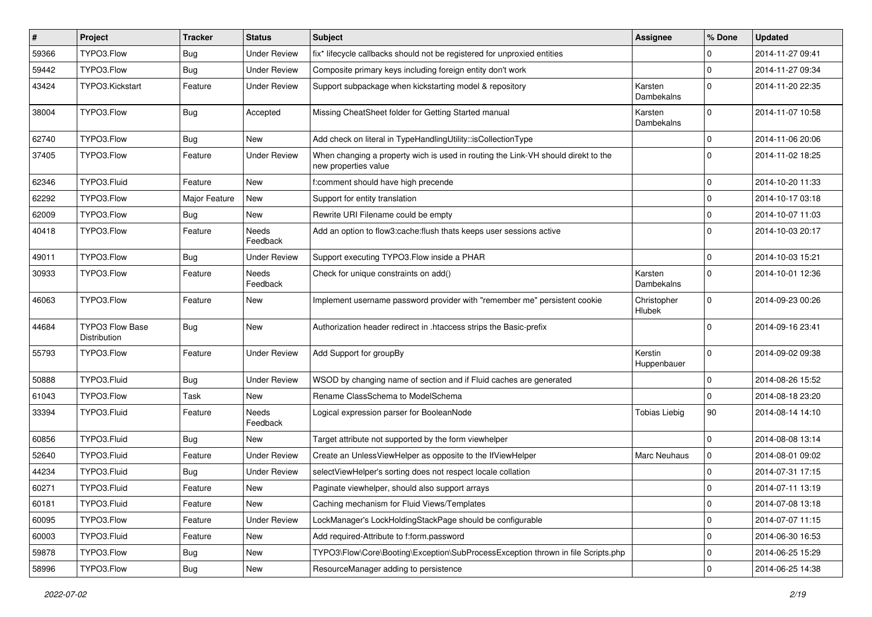| #     | Project                                | <b>Tracker</b> | <b>Status</b>            | Subject                                                                                                   | <b>Assignee</b>              | % Done      | <b>Updated</b>   |
|-------|----------------------------------------|----------------|--------------------------|-----------------------------------------------------------------------------------------------------------|------------------------------|-------------|------------------|
| 59366 | TYPO3.Flow                             | <b>Bug</b>     | <b>Under Review</b>      | fix* lifecycle callbacks should not be registered for unproxied entities                                  |                              | 0           | 2014-11-27 09:41 |
| 59442 | TYPO3.Flow                             | <b>Bug</b>     | <b>Under Review</b>      | Composite primary keys including foreign entity don't work                                                |                              | 0           | 2014-11-27 09:34 |
| 43424 | TYPO3.Kickstart                        | Feature        | <b>Under Review</b>      | Support subpackage when kickstarting model & repository                                                   | Karsten<br>Dambekalns        | $\Omega$    | 2014-11-20 22:35 |
| 38004 | TYPO3.Flow                             | Bug            | Accepted                 | Missing CheatSheet folder for Getting Started manual                                                      | Karsten<br>Dambekalns        | $\Omega$    | 2014-11-07 10:58 |
| 62740 | TYPO3.Flow                             | <b>Bug</b>     | New                      | Add check on literal in TypeHandlingUtility::isCollectionType                                             |                              | $\mathbf 0$ | 2014-11-06 20:06 |
| 37405 | TYPO3.Flow                             | Feature        | <b>Under Review</b>      | When changing a property wich is used in routing the Link-VH should direkt to the<br>new properties value |                              | $\Omega$    | 2014-11-02 18:25 |
| 62346 | TYPO3.Fluid                            | Feature        | <b>New</b>               | f:comment should have high precende                                                                       |                              | $\mathbf 0$ | 2014-10-20 11:33 |
| 62292 | TYPO3.Flow                             | Major Feature  | New                      | Support for entity translation                                                                            |                              | $\mathbf 0$ | 2014-10-17 03:18 |
| 62009 | TYPO3.Flow                             | Bug            | New                      | Rewrite URI Filename could be empty                                                                       |                              | $\mathbf 0$ | 2014-10-07 11:03 |
| 40418 | TYPO3.Flow                             | Feature        | Needs<br>Feedback        | Add an option to flow3:cache: flush thats keeps user sessions active                                      |                              | $\Omega$    | 2014-10-03 20:17 |
| 49011 | TYPO3.Flow                             | Bug            | <b>Under Review</b>      | Support executing TYPO3. Flow inside a PHAR                                                               |                              | $\mathbf 0$ | 2014-10-03 15:21 |
| 30933 | TYPO3.Flow                             | Feature        | Needs<br>Feedback        | Check for unique constraints on add()                                                                     | Karsten<br>Dambekalns        | $\Omega$    | 2014-10-01 12:36 |
| 46063 | TYPO3.Flow                             | Feature        | New                      | Implement username password provider with "remember me" persistent cookie                                 | Christopher<br><b>Hlubek</b> | $\Omega$    | 2014-09-23 00:26 |
| 44684 | <b>TYPO3 Flow Base</b><br>Distribution | <b>Bug</b>     | New                      | Authorization header redirect in .htaccess strips the Basic-prefix                                        |                              | $\Omega$    | 2014-09-16 23:41 |
| 55793 | TYPO3.Flow                             | Feature        | <b>Under Review</b>      | Add Support for groupBy                                                                                   | Kerstin<br>Huppenbauer       | $\Omega$    | 2014-09-02 09:38 |
| 50888 | TYPO3.Fluid                            | Bug            | <b>Under Review</b>      | WSOD by changing name of section and if Fluid caches are generated                                        |                              | $\mathbf 0$ | 2014-08-26 15:52 |
| 61043 | TYPO3.Flow                             | Task           | New                      | Rename ClassSchema to ModelSchema                                                                         |                              | $\mathbf 0$ | 2014-08-18 23:20 |
| 33394 | TYPO3.Fluid                            | Feature        | <b>Needs</b><br>Feedback | Logical expression parser for BooleanNode                                                                 | <b>Tobias Liebig</b>         | 90          | 2014-08-14 14:10 |
| 60856 | TYPO3.Fluid                            | <b>Bug</b>     | New                      | Target attribute not supported by the form viewhelper                                                     |                              | $\mathbf 0$ | 2014-08-08 13:14 |
| 52640 | TYPO3.Fluid                            | Feature        | <b>Under Review</b>      | Create an UnlessViewHelper as opposite to the IfViewHelper                                                | <b>Marc Neuhaus</b>          | 0           | 2014-08-01 09:02 |
| 44234 | TYPO3.Fluid                            | <b>Bug</b>     | <b>Under Review</b>      | selectViewHelper's sorting does not respect locale collation                                              |                              | $\Omega$    | 2014-07-31 17:15 |
| 60271 | TYPO3.Fluid                            | Feature        | New                      | Paginate viewhelper, should also support arrays                                                           |                              | 0           | 2014-07-11 13:19 |
| 60181 | TYPO3.Fluid                            | Feature        | New                      | Caching mechanism for Fluid Views/Templates                                                               |                              | $\mathbf 0$ | 2014-07-08 13:18 |
| 60095 | TYPO3.Flow                             | Feature        | <b>Under Review</b>      | LockManager's LockHoldingStackPage should be configurable                                                 |                              | $\mathbf 0$ | 2014-07-07 11:15 |
| 60003 | TYPO3.Fluid                            | Feature        | New                      | Add required-Attribute to f:form.password                                                                 |                              | $\mathbf 0$ | 2014-06-30 16:53 |
| 59878 | TYPO3.Flow                             | <b>Bug</b>     | New                      | TYPO3\Flow\Core\Booting\Exception\SubProcessException thrown in file Scripts.php                          |                              | 0           | 2014-06-25 15:29 |
| 58996 | TYPO3.Flow                             | Bug            | New                      | ResourceManager adding to persistence                                                                     |                              | $\mathsf 0$ | 2014-06-25 14:38 |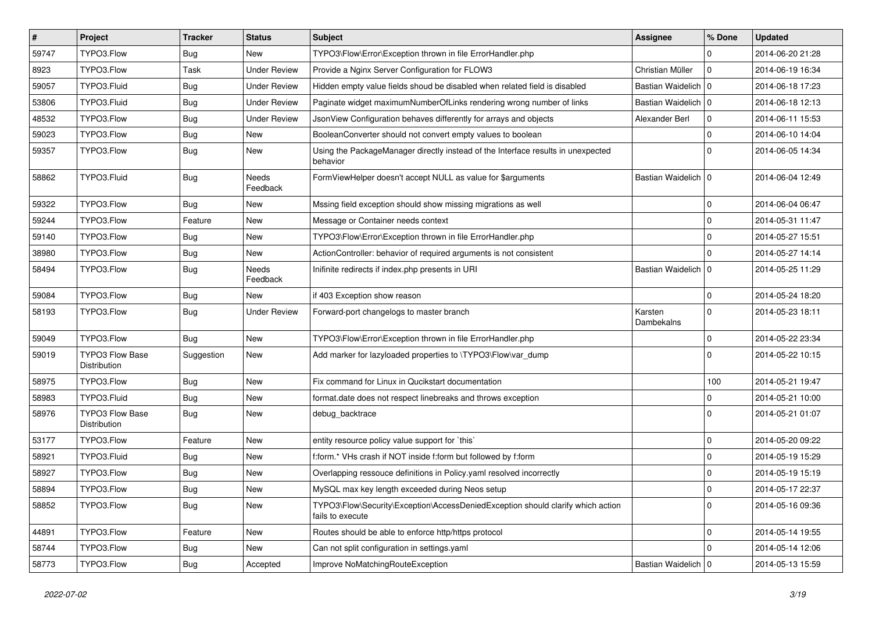| $\vert$ # | Project                                | <b>Tracker</b> | <b>Status</b>       | <b>Subject</b>                                                                                      | <b>Assignee</b>       | % Done         | <b>Updated</b>   |
|-----------|----------------------------------------|----------------|---------------------|-----------------------------------------------------------------------------------------------------|-----------------------|----------------|------------------|
| 59747     | TYPO3.Flow                             | Bug            | New                 | TYPO3\Flow\Error\Exception thrown in file ErrorHandler.php                                          |                       | $\Omega$       | 2014-06-20 21:28 |
| 8923      | TYPO3.Flow                             | Task           | <b>Under Review</b> | Provide a Nginx Server Configuration for FLOW3                                                      | Christian Müller      | 0 I            | 2014-06-19 16:34 |
| 59057     | TYPO3.Fluid                            | <b>Bug</b>     | <b>Under Review</b> | Hidden empty value fields shoud be disabled when related field is disabled                          | Bastian Waidelich   0 |                | 2014-06-18 17:23 |
| 53806     | TYPO3.Fluid                            | Bug            | <b>Under Review</b> | Paginate widget maximumNumberOfLinks rendering wrong number of links                                | Bastian Waidelich   0 |                | 2014-06-18 12:13 |
| 48532     | TYPO3.Flow                             | <b>Bug</b>     | <b>Under Review</b> | JsonView Configuration behaves differently for arrays and objects                                   | Alexander Berl        | 0              | 2014-06-11 15:53 |
| 59023     | TYPO3.Flow                             | <b>Bug</b>     | New                 | BooleanConverter should not convert empty values to boolean                                         |                       | $\Omega$       | 2014-06-10 14:04 |
| 59357     | TYPO3.Flow                             | <b>Bug</b>     | New                 | Using the PackageManager directly instead of the Interface results in unexpected<br>behavior        |                       | $\Omega$       | 2014-06-05 14:34 |
| 58862     | TYPO3.Fluid                            | <b>Bug</b>     | Needs<br>Feedback   | FormViewHelper doesn't accept NULL as value for \$arguments                                         | Bastian Waidelich   0 |                | 2014-06-04 12:49 |
| 59322     | TYPO3.Flow                             | <b>Bug</b>     | New                 | Mssing field exception should show missing migrations as well                                       |                       | $\mathbf 0$    | 2014-06-04 06:47 |
| 59244     | TYPO3.Flow                             | Feature        | New                 | Message or Container needs context                                                                  |                       | $\Omega$       | 2014-05-31 11:47 |
| 59140     | TYPO3.Flow                             | Bug            | New                 | TYPO3\Flow\Error\Exception thrown in file ErrorHandler.php                                          |                       | $\Omega$       | 2014-05-27 15:51 |
| 38980     | TYPO3.Flow                             | <b>Bug</b>     | New                 | ActionController: behavior of required arguments is not consistent                                  |                       | $\Omega$       | 2014-05-27 14:14 |
| 58494     | TYPO3.Flow                             | <b>Bug</b>     | Needs<br>Feedback   | Inifinite redirects if index.php presents in URI                                                    | Bastian Waidelich   0 |                | 2014-05-25 11:29 |
| 59084     | TYPO3.Flow                             | <b>Bug</b>     | New                 | if 403 Exception show reason                                                                        |                       | $\Omega$       | 2014-05-24 18:20 |
| 58193     | TYPO3.Flow                             | <b>Bug</b>     | <b>Under Review</b> | Forward-port changelogs to master branch                                                            | Karsten<br>Dambekalns | $\overline{0}$ | 2014-05-23 18:11 |
| 59049     | TYPO3.Flow                             | <b>Bug</b>     | New                 | TYPO3\Flow\Error\Exception thrown in file ErrorHandler.php                                          |                       | $\Omega$       | 2014-05-22 23:34 |
| 59019     | <b>TYPO3 Flow Base</b><br>Distribution | Suggestion     | New                 | Add marker for lazyloaded properties to \TYPO3\Flow\var_dump                                        |                       | $\Omega$       | 2014-05-22 10:15 |
| 58975     | TYPO3.Flow                             | <b>Bug</b>     | New                 | Fix command for Linux in Qucikstart documentation                                                   |                       | 100            | 2014-05-21 19:47 |
| 58983     | TYPO3.Fluid                            | Bug            | New                 | format.date does not respect linebreaks and throws exception                                        |                       | $\Omega$       | 2014-05-21 10:00 |
| 58976     | <b>TYPO3 Flow Base</b><br>Distribution | <b>Bug</b>     | New                 | debug backtrace                                                                                     |                       | $\Omega$       | 2014-05-21 01:07 |
| 53177     | TYPO3.Flow                             | Feature        | New                 | entity resource policy value support for `this`                                                     |                       | $\mathbf 0$    | 2014-05-20 09:22 |
| 58921     | TYPO3.Fluid                            | <b>Bug</b>     | New                 | f:form.* VHs crash if NOT inside f:form but followed by f:form                                      |                       | $\Omega$       | 2014-05-19 15:29 |
| 58927     | TYPO3.Flow                             | <b>Bug</b>     | New                 | Overlapping ressouce definitions in Policy.yaml resolved incorrectly                                |                       | $\Omega$       | 2014-05-19 15:19 |
| 58894     | TYPO3.Flow                             | Bug            | New                 | MySQL max key length exceeded during Neos setup                                                     |                       | l O            | 2014-05-17 22:37 |
| 58852     | TYPO3.Flow                             | <b>Bug</b>     | New                 | TYPO3\Flow\Security\Exception\AccessDeniedException should clarify which action<br>fails to execute |                       | 0 I            | 2014-05-16 09:36 |
| 44891     | TYPO3.Flow                             | Feature        | New                 | Routes should be able to enforce http/https protocol                                                |                       | $\mathbf 0$    | 2014-05-14 19:55 |
| 58744     | TYPO3.Flow                             | <b>Bug</b>     | New                 | Can not split configuration in settings.yaml                                                        |                       | $\Omega$       | 2014-05-14 12:06 |
| 58773     | TYPO3.Flow                             | <b>Bug</b>     | Accepted            | Improve NoMatchingRouteException                                                                    | Bastian Waidelich   0 |                | 2014-05-13 15:59 |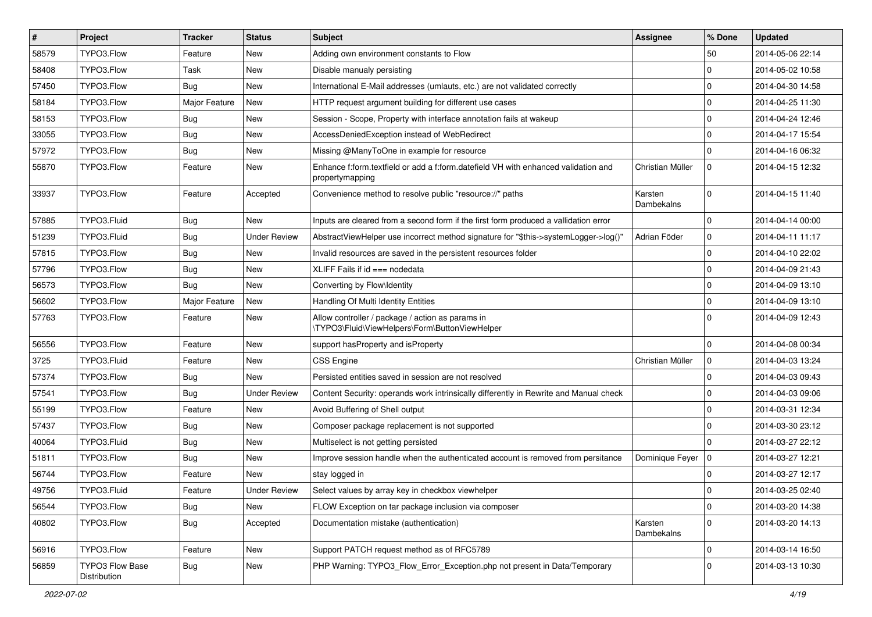| $\sharp$ | Project                         | <b>Tracker</b> | <b>Status</b>       | Subject                                                                                               | <b>Assignee</b>       | % Done      | <b>Updated</b>   |
|----------|---------------------------------|----------------|---------------------|-------------------------------------------------------------------------------------------------------|-----------------------|-------------|------------------|
| 58579    | TYPO3.Flow                      | Feature        | <b>New</b>          | Adding own environment constants to Flow                                                              |                       | 50          | 2014-05-06 22:14 |
| 58408    | TYPO3.Flow                      | Task           | New                 | Disable manualy persisting                                                                            |                       | 0           | 2014-05-02 10:58 |
| 57450    | TYPO3.Flow                      | Bug            | <b>New</b>          | International E-Mail addresses (umlauts, etc.) are not validated correctly                            |                       | $\mathbf 0$ | 2014-04-30 14:58 |
| 58184    | TYPO3.Flow                      | Major Feature  | New                 | HTTP request argument building for different use cases                                                |                       | 0           | 2014-04-25 11:30 |
| 58153    | TYPO3.Flow                      | Bug            | <b>New</b>          | Session - Scope, Property with interface annotation fails at wakeup                                   |                       | $\mathbf 0$ | 2014-04-24 12:46 |
| 33055    | TYPO3.Flow                      | Bug            | <b>New</b>          | AccessDeniedException instead of WebRedirect                                                          |                       | 0           | 2014-04-17 15:54 |
| 57972    | TYPO3.Flow                      | <b>Bug</b>     | <b>New</b>          | Missing @ManyToOne in example for resource                                                            |                       | 0           | 2014-04-16 06:32 |
| 55870    | TYPO3.Flow                      | Feature        | New                 | Enhance f:form.textfield or add a f:form.datefield VH with enhanced validation and<br>propertymapping | Christian Müller      | $\mathbf 0$ | 2014-04-15 12:32 |
| 33937    | TYPO3.Flow                      | Feature        | Accepted            | Convenience method to resolve public "resource://" paths                                              | Karsten<br>Dambekalns | $\mathbf 0$ | 2014-04-15 11:40 |
| 57885    | TYPO3.Fluid                     | <b>Bug</b>     | <b>New</b>          | Inputs are cleared from a second form if the first form produced a vallidation error                  |                       | $\mathbf 0$ | 2014-04-14 00:00 |
| 51239    | TYPO3.Fluid                     | <b>Bug</b>     | <b>Under Review</b> | AbstractViewHelper use incorrect method signature for "\$this->systemLogger->log()"                   | Adrian Föder          | 0           | 2014-04-11 11:17 |
| 57815    | TYPO3.Flow                      | <b>Bug</b>     | New                 | Invalid resources are saved in the persistent resources folder                                        |                       | $\mathbf 0$ | 2014-04-10 22:02 |
| 57796    | TYPO3.Flow                      | <b>Bug</b>     | <b>New</b>          | XLIFF Fails if $id ==$ nodedata                                                                       |                       | 0           | 2014-04-09 21:43 |
| 56573    | TYPO3.Flow                      | Bug            | New                 | Converting by Flow\Identity                                                                           |                       | $\mathbf 0$ | 2014-04-09 13:10 |
| 56602    | TYPO3.Flow                      | Major Feature  | New                 | Handling Of Multi Identity Entities                                                                   |                       | 0           | 2014-04-09 13:10 |
| 57763    | TYPO3.Flow                      | Feature        | <b>New</b>          | Allow controller / package / action as params in<br>\TYPO3\Fluid\ViewHelpers\Form\ButtonViewHelper    |                       | $\Omega$    | 2014-04-09 12:43 |
| 56556    | TYPO3.Flow                      | Feature        | New                 | support has Property and is Property                                                                  |                       | $\mathbf 0$ | 2014-04-08 00:34 |
| 3725     | TYPO3.Fluid                     | Feature        | New                 | <b>CSS Engine</b>                                                                                     | Christian Müller      | 0           | 2014-04-03 13:24 |
| 57374    | TYPO3.Flow                      | Bug            | <b>New</b>          | Persisted entities saved in session are not resolved                                                  |                       | $\mathbf 0$ | 2014-04-03 09:43 |
| 57541    | TYPO3.Flow                      | <b>Bug</b>     | <b>Under Review</b> | Content Security: operands work intrinsically differently in Rewrite and Manual check                 |                       | 0           | 2014-04-03 09:06 |
| 55199    | TYPO3.Flow                      | Feature        | <b>New</b>          | Avoid Buffering of Shell output                                                                       |                       | 0           | 2014-03-31 12:34 |
| 57437    | TYPO3.Flow                      | Bug            | New                 | Composer package replacement is not supported                                                         |                       | $\mathbf 0$ | 2014-03-30 23:12 |
| 40064    | TYPO3.Fluid                     | Bug            | <b>New</b>          | Multiselect is not getting persisted                                                                  |                       | 0           | 2014-03-27 22:12 |
| 51811    | TYPO3.Flow                      | Bug            | New                 | Improve session handle when the authenticated account is removed from persitance                      | Dominique Feyer   0   |             | 2014-03-27 12:21 |
| 56744    | TYPO3.Flow                      | Feature        | <b>New</b>          | stay logged in                                                                                        |                       | $\mathbf 0$ | 2014-03-27 12:17 |
| 49756    | TYPO3.Fluid                     | Feature        | <b>Under Review</b> | Select values by array key in checkbox viewhelper                                                     |                       | 0           | 2014-03-25 02:40 |
| 56544    | TYPO3.Flow                      | <b>Bug</b>     | New                 | FLOW Exception on tar package inclusion via composer                                                  |                       | $\mathbf 0$ | 2014-03-20 14:38 |
| 40802    | TYPO3.Flow                      | Bug            | Accepted            | Documentation mistake (authentication)                                                                | Karsten<br>Dambekalns | $\mathbf 0$ | 2014-03-20 14:13 |
| 56916    | TYPO3.Flow                      | Feature        | New                 | Support PATCH request method as of RFC5789                                                            |                       | 0           | 2014-03-14 16:50 |
| 56859    | TYPO3 Flow Base<br>Distribution | <b>Bug</b>     | New                 | PHP Warning: TYPO3 Flow Error Exception.php not present in Data/Temporary                             |                       | 0           | 2014-03-13 10:30 |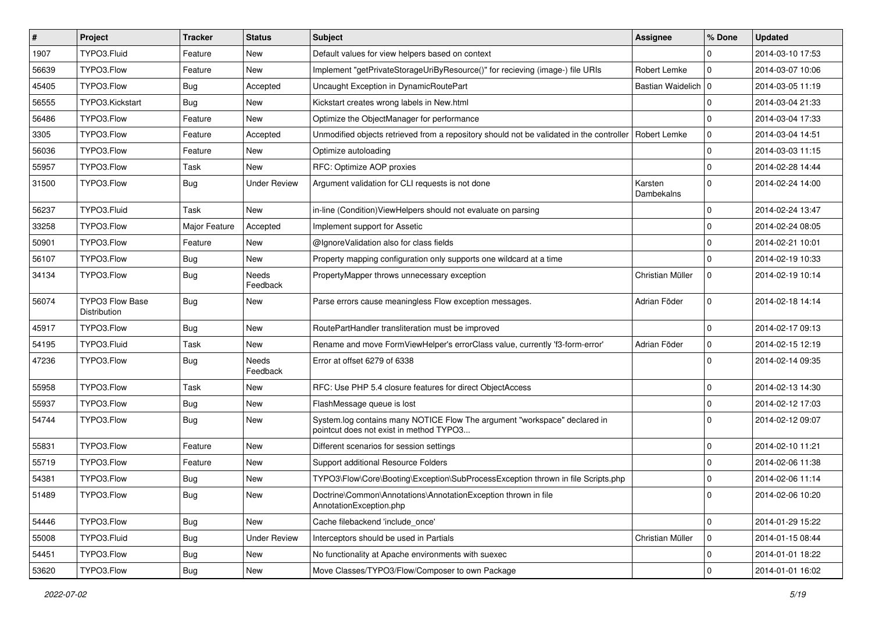| $\pmb{\#}$ | <b>Project</b>                  | <b>Tracker</b> | <b>Status</b>            | Subject                                                                                                              | <b>Assignee</b>       | % Done      | <b>Updated</b>   |
|------------|---------------------------------|----------------|--------------------------|----------------------------------------------------------------------------------------------------------------------|-----------------------|-------------|------------------|
| 1907       | TYPO3.Fluid                     | Feature        | <b>New</b>               | Default values for view helpers based on context                                                                     |                       | $\Omega$    | 2014-03-10 17:53 |
| 56639      | TYPO3.Flow                      | Feature        | <b>New</b>               | Implement "getPrivateStorageUriByResource()" for recieving (image-) file URIs                                        | Robert Lemke          | $\mathbf 0$ | 2014-03-07 10:06 |
| 45405      | TYPO3.Flow                      | <b>Bug</b>     | Accepted                 | Uncaught Exception in DynamicRoutePart                                                                               | Bastian Waidelich 0   |             | 2014-03-05 11:19 |
| 56555      | TYPO3.Kickstart                 | Bug            | New                      | Kickstart creates wrong labels in New.html                                                                           |                       | $\mathbf 0$ | 2014-03-04 21:33 |
| 56486      | TYPO3.Flow                      | Feature        | <b>New</b>               | Optimize the ObjectManager for performance                                                                           |                       | $\mathbf 0$ | 2014-03-04 17:33 |
| 3305       | TYPO3.Flow                      | Feature        | Accepted                 | Unmodified objects retrieved from a repository should not be validated in the controller                             | Robert Lemke          | $\mathbf 0$ | 2014-03-04 14:51 |
| 56036      | TYPO3.Flow                      | Feature        | New                      | Optimize autoloading                                                                                                 |                       | $\mathbf 0$ | 2014-03-03 11:15 |
| 55957      | TYPO3.Flow                      | Task           | New                      | RFC: Optimize AOP proxies                                                                                            |                       | $\mathbf 0$ | 2014-02-28 14:44 |
| 31500      | TYPO3.Flow                      | <b>Bug</b>     | <b>Under Review</b>      | Argument validation for CLI requests is not done                                                                     | Karsten<br>Dambekalns | $\Omega$    | 2014-02-24 14:00 |
| 56237      | TYPO3.Fluid                     | Task           | <b>New</b>               | in-line (Condition) View Helpers should not evaluate on parsing                                                      |                       | $\mathbf 0$ | 2014-02-24 13:47 |
| 33258      | TYPO3.Flow                      | Major Feature  | Accepted                 | Implement support for Assetic                                                                                        |                       | $\mathbf 0$ | 2014-02-24 08:05 |
| 50901      | TYPO3.Flow                      | Feature        | <b>New</b>               | @IgnoreValidation also for class fields                                                                              |                       | $\mathbf 0$ | 2014-02-21 10:01 |
| 56107      | TYPO3.Flow                      | <b>Bug</b>     | New                      | Property mapping configuration only supports one wildcard at a time                                                  |                       | $\Omega$    | 2014-02-19 10:33 |
| 34134      | TYPO3.Flow                      | <b>Bug</b>     | Needs<br>Feedback        | PropertyMapper throws unnecessary exception                                                                          | Christian Müller      | $\mathbf 0$ | 2014-02-19 10:14 |
| 56074      | TYPO3 Flow Base<br>Distribution | <b>Bug</b>     | <b>New</b>               | Parse errors cause meaningless Flow exception messages.                                                              | Adrian Föder          | $\mathbf 0$ | 2014-02-18 14:14 |
| 45917      | TYPO3.Flow                      | <b>Bug</b>     | New                      | RoutePartHandler transliteration must be improved                                                                    |                       | $\mathbf 0$ | 2014-02-17 09:13 |
| 54195      | TYPO3.Fluid                     | Task           | <b>New</b>               | Rename and move FormViewHelper's errorClass value, currently 'f3-form-error'                                         | Adrian Föder          | $\mathbf 0$ | 2014-02-15 12:19 |
| 47236      | TYPO3.Flow                      | <b>Bug</b>     | <b>Needs</b><br>Feedback | Error at offset 6279 of 6338                                                                                         |                       | $\Omega$    | 2014-02-14 09:35 |
| 55958      | TYPO3.Flow                      | Task           | <b>New</b>               | RFC: Use PHP 5.4 closure features for direct ObjectAccess                                                            |                       | $\mathbf 0$ | 2014-02-13 14:30 |
| 55937      | TYPO3.Flow                      | <b>Bug</b>     | New                      | FlashMessage queue is lost                                                                                           |                       | $\mathbf 0$ | 2014-02-12 17:03 |
| 54744      | TYPO3.Flow                      | <b>Bug</b>     | <b>New</b>               | System.log contains many NOTICE Flow The argument "workspace" declared in<br>pointcut does not exist in method TYPO3 |                       | $\Omega$    | 2014-02-12 09:07 |
| 55831      | TYPO3.Flow                      | Feature        | <b>New</b>               | Different scenarios for session settings                                                                             |                       | $\mathbf 0$ | 2014-02-10 11:21 |
| 55719      | TYPO3.Flow                      | Feature        | <b>New</b>               | Support additional Resource Folders                                                                                  |                       | $\mathbf 0$ | 2014-02-06 11:38 |
| 54381      | TYPO3.Flow                      | <b>Bug</b>     | <b>New</b>               | TYPO3\Flow\Core\Booting\Exception\SubProcessException thrown in file Scripts.php                                     |                       | $\mathbf 0$ | 2014-02-06 11:14 |
| 51489      | TYPO3.Flow                      | Bug            | New                      | Doctrine\Common\Annotations\AnnotationException thrown in file<br>AnnotationException.php                            |                       | 0           | 2014-02-06 10:20 |
| 54446      | TYPO3.Flow                      | <b>Bug</b>     | New                      | Cache filebackend 'include_once'                                                                                     |                       | 0           | 2014-01-29 15:22 |
| 55008      | TYPO3.Fluid                     | <b>Bug</b>     | <b>Under Review</b>      | Interceptors should be used in Partials                                                                              | Christian Müller      | $\mathbf 0$ | 2014-01-15 08:44 |
| 54451      | TYPO3.Flow                      | Bug            | New                      | No functionality at Apache environments with suexec                                                                  |                       | 0           | 2014-01-01 18:22 |
| 53620      | TYPO3.Flow                      | Bug            | New                      | Move Classes/TYPO3/Flow/Composer to own Package                                                                      |                       | 0           | 2014-01-01 16:02 |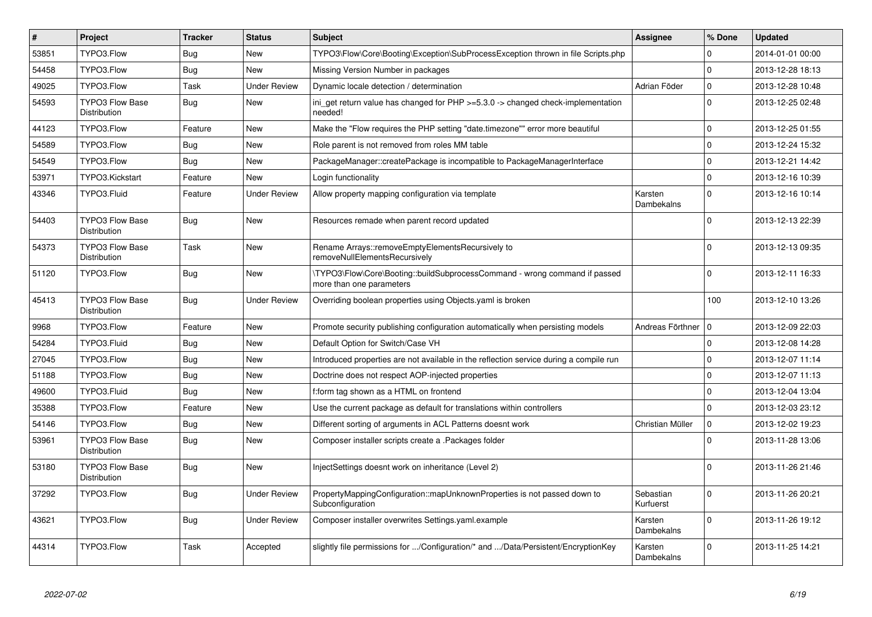| $\vert$ # | Project                                       | <b>Tracker</b> | <b>Status</b>       | <b>Subject</b>                                                                                         | <b>Assignee</b>        | % Done      | <b>Updated</b>   |
|-----------|-----------------------------------------------|----------------|---------------------|--------------------------------------------------------------------------------------------------------|------------------------|-------------|------------------|
| 53851     | TYPO3.Flow                                    | <b>Bug</b>     | <b>New</b>          | TYPO3\Flow\Core\Booting\Exception\SubProcessException thrown in file Scripts.php                       |                        | $\Omega$    | 2014-01-01 00:00 |
| 54458     | TYPO3.Flow                                    | Bug            | <b>New</b>          | Missing Version Number in packages                                                                     |                        | $\Omega$    | 2013-12-28 18:13 |
| 49025     | TYPO3.Flow                                    | Task           | <b>Under Review</b> | Dynamic locale detection / determination                                                               | Adrian Föder           | $\mathbf 0$ | 2013-12-28 10:48 |
| 54593     | <b>TYPO3 Flow Base</b><br>Distribution        | Bug            | New                 | ini get return value has changed for $PHP \ge 5.3.0 \ge$ changed check-implementation<br>needed!       |                        | $\Omega$    | 2013-12-25 02:48 |
| 44123     | TYPO3.Flow                                    | Feature        | <b>New</b>          | Make the "Flow requires the PHP setting "date.timezone"" error more beautiful                          |                        | $\Omega$    | 2013-12-25 01:55 |
| 54589     | TYPO3.Flow                                    | Bug            | <b>New</b>          | Role parent is not removed from roles MM table                                                         |                        | $\mathbf 0$ | 2013-12-24 15:32 |
| 54549     | TYPO3.Flow                                    | Bug            | <b>New</b>          | PackageManager::createPackage is incompatible to PackageManagerInterface                               |                        | $\Omega$    | 2013-12-21 14:42 |
| 53971     | TYPO3.Kickstart                               | Feature        | <b>New</b>          | Login functionality                                                                                    |                        | $\mathbf 0$ | 2013-12-16 10:39 |
| 43346     | TYPO3.Fluid                                   | Feature        | <b>Under Review</b> | Allow property mapping configuration via template                                                      | Karsten<br>Dambekalns  | $\Omega$    | 2013-12-16 10:14 |
| 54403     | <b>TYPO3 Flow Base</b><br>Distribution        | <b>Bug</b>     | <b>New</b>          | Resources remade when parent record updated                                                            |                        | $\Omega$    | 2013-12-13 22:39 |
| 54373     | TYPO3 Flow Base<br>Distribution               | Task           | New                 | Rename Arrays::removeEmptyElementsRecursively to<br>removeNullElementsRecursively                      |                        | $\Omega$    | 2013-12-13 09:35 |
| 51120     | TYPO3.Flow                                    | <b>Bug</b>     | New                 | \TYPO3\Flow\Core\Booting::buildSubprocessCommand - wrong command if passed<br>more than one parameters |                        | $\Omega$    | 2013-12-11 16:33 |
| 45413     | <b>TYPO3 Flow Base</b><br>Distribution        | <b>Bug</b>     | <b>Under Review</b> | Overriding boolean properties using Objects yaml is broken                                             |                        | 100         | 2013-12-10 13:26 |
| 9968      | TYPO3.Flow                                    | Feature        | <b>New</b>          | Promote security publishing configuration automatically when persisting models                         | Andreas Förthner       | ۱٥          | 2013-12-09 22:03 |
| 54284     | TYPO3.Fluid                                   | Bug            | New                 | Default Option for Switch/Case VH                                                                      |                        | $\mathbf 0$ | 2013-12-08 14:28 |
| 27045     | TYPO3.Flow                                    | Bug            | New                 | Introduced properties are not available in the reflection service during a compile run                 |                        | $\mathbf 0$ | 2013-12-07 11:14 |
| 51188     | TYPO3.Flow                                    | Bug            | <b>New</b>          | Doctrine does not respect AOP-injected properties                                                      |                        | $\Omega$    | 2013-12-07 11:13 |
| 49600     | TYPO3.Fluid                                   | Bug            | New                 | f:form tag shown as a HTML on frontend                                                                 |                        | $\mathbf 0$ | 2013-12-04 13:04 |
| 35388     | TYPO3.Flow                                    | Feature        | <b>New</b>          | Use the current package as default for translations within controllers                                 |                        | $\Omega$    | 2013-12-03 23:12 |
| 54146     | TYPO3.Flow                                    | Bug            | <b>New</b>          | Different sorting of arguments in ACL Patterns doesnt work                                             | Christian Müller       | $\mathbf 0$ | 2013-12-02 19:23 |
| 53961     | <b>TYPO3 Flow Base</b><br><b>Distribution</b> | <b>Bug</b>     | <b>New</b>          | Composer installer scripts create a .Packages folder                                                   |                        | $\Omega$    | 2013-11-28 13:06 |
| 53180     | <b>TYPO3 Flow Base</b><br>Distribution        | <b>Bug</b>     | <b>New</b>          | InjectSettings doesnt work on inheritance (Level 2)                                                    |                        | $\Omega$    | 2013-11-26 21:46 |
| 37292     | TYPO3.Flow                                    | <b>Bug</b>     | <b>Under Review</b> | PropertyMappingConfiguration::mapUnknownProperties is not passed down to<br>Subconfiguration           | Sebastian<br>Kurfuerst | $\Omega$    | 2013-11-26 20:21 |
| 43621     | TYPO3.Flow                                    | <b>Bug</b>     | <b>Under Review</b> | Composer installer overwrites Settings.yaml.example                                                    | Karsten<br>Dambekalns  | $\Omega$    | 2013-11-26 19:12 |
| 44314     | TYPO3.Flow                                    | Task           | Accepted            | slightly file permissions for /Configuration/* and /Data/Persistent/EncryptionKey                      | Karsten<br>Dambekalns  | $\Omega$    | 2013-11-25 14:21 |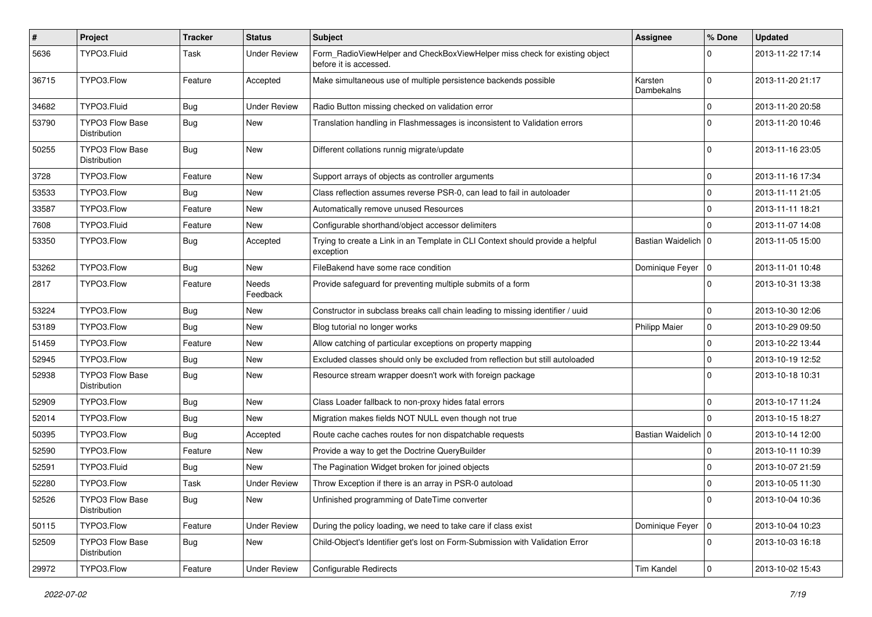| $\sharp$ | Project                                | <b>Tracker</b> | <b>Status</b>       | <b>Subject</b>                                                                                       | <b>Assignee</b>       | % Done      | <b>Updated</b>   |
|----------|----------------------------------------|----------------|---------------------|------------------------------------------------------------------------------------------------------|-----------------------|-------------|------------------|
| 5636     | TYPO3.Fluid                            | Task           | <b>Under Review</b> | Form_RadioViewHelper and CheckBoxViewHelper miss check for existing object<br>before it is accessed. |                       | $\Omega$    | 2013-11-22 17:14 |
| 36715    | TYPO3.Flow                             | Feature        | Accepted            | Make simultaneous use of multiple persistence backends possible                                      | Karsten<br>Dambekalns | $\Omega$    | 2013-11-20 21:17 |
| 34682    | TYPO3.Fluid                            | Bug            | <b>Under Review</b> | Radio Button missing checked on validation error                                                     |                       | 0           | 2013-11-20 20:58 |
| 53790    | <b>TYPO3 Flow Base</b><br>Distribution | Bug            | New                 | Translation handling in Flashmessages is inconsistent to Validation errors                           |                       | $\Omega$    | 2013-11-20 10:46 |
| 50255    | TYPO3 Flow Base<br>Distribution        | Bug            | <b>New</b>          | Different collations runnig migrate/update                                                           |                       | $\Omega$    | 2013-11-16 23:05 |
| 3728     | TYPO3.Flow                             | Feature        | <b>New</b>          | Support arrays of objects as controller arguments                                                    |                       | $\mathbf 0$ | 2013-11-16 17:34 |
| 53533    | TYPO3.Flow                             | <b>Bug</b>     | New                 | Class reflection assumes reverse PSR-0, can lead to fail in autoloader                               |                       | 0           | 2013-11-11 21:05 |
| 33587    | TYPO3.Flow                             | Feature        | New                 | Automatically remove unused Resources                                                                |                       | $\mathbf 0$ | 2013-11-11 18:21 |
| 7608     | TYPO3.Fluid                            | Feature        | New                 | Configurable shorthand/object accessor delimiters                                                    |                       | $\Omega$    | 2013-11-07 14:08 |
| 53350    | TYPO3.Flow                             | <b>Bug</b>     | Accepted            | Trying to create a Link in an Template in CLI Context should provide a helpful<br>exception          | Bastian Waidelich   0 |             | 2013-11-05 15:00 |
| 53262    | TYPO3.Flow                             | Bug            | <b>New</b>          | FileBakend have some race condition                                                                  | Dominique Feyer       | 10          | 2013-11-01 10:48 |
| 2817     | TYPO3.Flow                             | Feature        | Needs<br>Feedback   | Provide safeguard for preventing multiple submits of a form                                          |                       | $\Omega$    | 2013-10-31 13:38 |
| 53224    | TYPO3.Flow                             | Bug            | New                 | Constructor in subclass breaks call chain leading to missing identifier / uuid                       |                       | 0           | 2013-10-30 12:06 |
| 53189    | TYPO3.Flow                             | <b>Bug</b>     | New                 | Blog tutorial no longer works                                                                        | <b>Philipp Maier</b>  | $\mathbf 0$ | 2013-10-29 09:50 |
| 51459    | TYPO3.Flow                             | Feature        | <b>New</b>          | Allow catching of particular exceptions on property mapping                                          |                       | 0           | 2013-10-22 13:44 |
| 52945    | TYPO3.Flow                             | <b>Bug</b>     | New                 | Excluded classes should only be excluded from reflection but still autoloaded                        |                       | $\mathbf 0$ | 2013-10-19 12:52 |
| 52938    | <b>TYPO3 Flow Base</b><br>Distribution | Bug            | New                 | Resource stream wrapper doesn't work with foreign package                                            |                       | $\Omega$    | 2013-10-18 10:31 |
| 52909    | TYPO3.Flow                             | Bug            | New                 | Class Loader fallback to non-proxy hides fatal errors                                                |                       | $\mathbf 0$ | 2013-10-17 11:24 |
| 52014    | TYPO3.Flow                             | <b>Bug</b>     | <b>New</b>          | Migration makes fields NOT NULL even though not true                                                 |                       | $\Omega$    | 2013-10-15 18:27 |
| 50395    | TYPO3.Flow                             | <b>Bug</b>     | Accepted            | Route cache caches routes for non dispatchable requests                                              | Bastian Waidelich   0 |             | 2013-10-14 12:00 |
| 52590    | TYPO3.Flow                             | Feature        | New                 | Provide a way to get the Doctrine QueryBuilder                                                       |                       | $\mathbf 0$ | 2013-10-11 10:39 |
| 52591    | TYPO3.Fluid                            | Bug            | <b>New</b>          | The Pagination Widget broken for joined objects                                                      |                       | 0           | 2013-10-07 21:59 |
| 52280    | TYPO3.Flow                             | Task           | <b>Under Review</b> | Throw Exception if there is an array in PSR-0 autoload                                               |                       | $\mathbf 0$ | 2013-10-05 11:30 |
| 52526    | TYPO3 Flow Base<br>Distribution        | <b>Bug</b>     | New                 | Unfinished programming of DateTime converter                                                         |                       | 0           | 2013-10-04 10:36 |
| 50115    | TYPO3.Flow                             | Feature        | <b>Under Review</b> | During the policy loading, we need to take care if class exist                                       | Dominique Feyer   0   |             | 2013-10-04 10:23 |
| 52509    | <b>TYPO3 Flow Base</b><br>Distribution | <b>Bug</b>     | New                 | Child-Object's Identifier get's lost on Form-Submission with Validation Error                        |                       | $\mathbf 0$ | 2013-10-03 16:18 |
| 29972    | TYPO3.Flow                             | Feature        | <b>Under Review</b> | Configurable Redirects                                                                               | Tim Kandel            | $\pmb{0}$   | 2013-10-02 15:43 |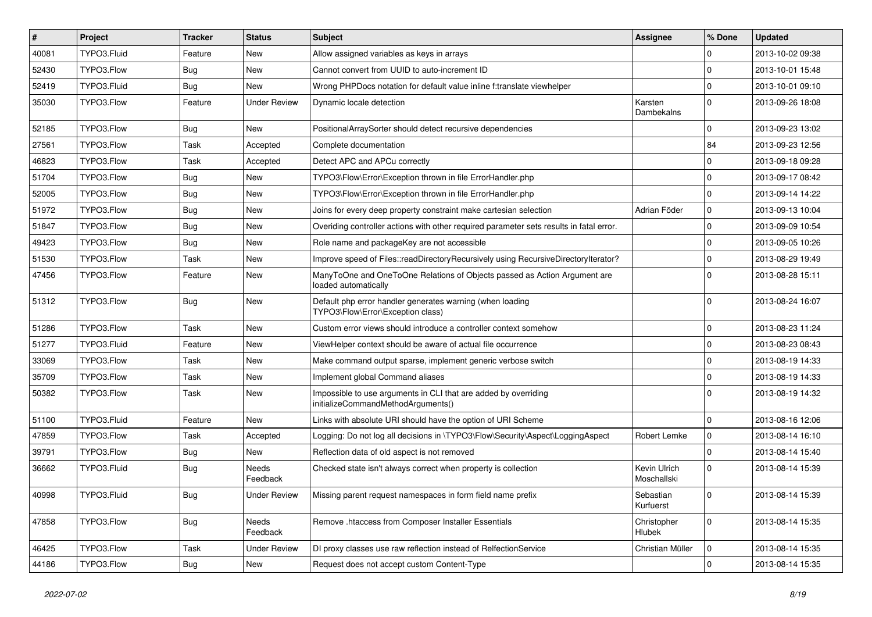| #     | Project     | <b>Tracker</b> | <b>Status</b>            | <b>Subject</b>                                                                                        | Assignee                    | % Done      | <b>Updated</b>   |
|-------|-------------|----------------|--------------------------|-------------------------------------------------------------------------------------------------------|-----------------------------|-------------|------------------|
| 40081 | TYPO3.Fluid | Feature        | <b>New</b>               | Allow assigned variables as keys in arrays                                                            |                             | $\Omega$    | 2013-10-02 09:38 |
| 52430 | TYPO3.Flow  | <b>Bug</b>     | New                      | Cannot convert from UUID to auto-increment ID                                                         |                             | $\Omega$    | 2013-10-01 15:48 |
| 52419 | TYPO3.Fluid | Bug            | New                      | Wrong PHPDocs notation for default value inline f:translate viewhelper                                |                             | $\Omega$    | 2013-10-01 09:10 |
| 35030 | TYPO3.Flow  | Feature        | <b>Under Review</b>      | Dynamic locale detection                                                                              | Karsten<br>Dambekalns       | $\Omega$    | 2013-09-26 18:08 |
| 52185 | TYPO3.Flow  | <b>Bug</b>     | New                      | PositionalArraySorter should detect recursive dependencies                                            |                             | 0           | 2013-09-23 13:02 |
| 27561 | TYPO3.Flow  | Task           | Accepted                 | Complete documentation                                                                                |                             | 84          | 2013-09-23 12:56 |
| 46823 | TYPO3.Flow  | Task           | Accepted                 | Detect APC and APCu correctly                                                                         |                             | $\Omega$    | 2013-09-18 09:28 |
| 51704 | TYPO3.Flow  | Bug            | New                      | TYPO3\Flow\Error\Exception thrown in file ErrorHandler.php                                            |                             | $\mathbf 0$ | 2013-09-17 08:42 |
| 52005 | TYPO3.Flow  | <b>Bug</b>     | New                      | TYPO3\Flow\Error\Exception thrown in file ErrorHandler.php                                            |                             | $\mathbf 0$ | 2013-09-14 14:22 |
| 51972 | TYPO3.Flow  | Bug            | New                      | Joins for every deep property constraint make cartesian selection                                     | Adrian Föder                | $\mathbf 0$ | 2013-09-13 10:04 |
| 51847 | TYPO3.Flow  | <b>Bug</b>     | New                      | Overiding controller actions with other required parameter sets results in fatal error.               |                             | $\Omega$    | 2013-09-09 10:54 |
| 49423 | TYPO3.Flow  | Bug            | New                      | Role name and packageKey are not accessible                                                           |                             | $\mathbf 0$ | 2013-09-05 10:26 |
| 51530 | TYPO3.Flow  | Task           | New                      | Improve speed of Files::readDirectoryRecursively using RecursiveDirectoryIterator?                    |                             | $\mathbf 0$ | 2013-08-29 19:49 |
| 47456 | TYPO3.Flow  | Feature        | New                      | ManyToOne and OneToOne Relations of Objects passed as Action Argument are<br>loaded automatically     |                             | $\Omega$    | 2013-08-28 15:11 |
| 51312 | TYPO3.Flow  | <b>Bug</b>     | New                      | Default php error handler generates warning (when loading<br>TYPO3\Flow\Error\Exception class)        |                             | $\Omega$    | 2013-08-24 16:07 |
| 51286 | TYPO3.Flow  | Task           | New                      | Custom error views should introduce a controller context somehow                                      |                             | $\mathbf 0$ | 2013-08-23 11:24 |
| 51277 | TYPO3.Fluid | Feature        | <b>New</b>               | ViewHelper context should be aware of actual file occurrence                                          |                             | $\mathbf 0$ | 2013-08-23 08:43 |
| 33069 | TYPO3.Flow  | Task           | New                      | Make command output sparse, implement generic verbose switch                                          |                             | $\mathbf 0$ | 2013-08-19 14:33 |
| 35709 | TYPO3.Flow  | Task           | New                      | Implement global Command aliases                                                                      |                             | $\mathbf 0$ | 2013-08-19 14:33 |
| 50382 | TYPO3.Flow  | Task           | New                      | Impossible to use arguments in CLI that are added by overriding<br>initializeCommandMethodArguments() |                             | $\Omega$    | 2013-08-19 14:32 |
| 51100 | TYPO3.Fluid | Feature        | New                      | Links with absolute URI should have the option of URI Scheme                                          |                             | $\Omega$    | 2013-08-16 12:06 |
| 47859 | TYPO3.Flow  | Task           | Accepted                 | Logging: Do not log all decisions in \TYPO3\Flow\Security\Aspect\LoggingAspect                        | Robert Lemke                | $\mathbf 0$ | 2013-08-14 16:10 |
| 39791 | TYPO3.Flow  | <b>Bug</b>     | New                      | Reflection data of old aspect is not removed                                                          |                             | $\Omega$    | 2013-08-14 15:40 |
| 36662 | TYPO3.Fluid | <b>Bug</b>     | <b>Needs</b><br>Feedback | Checked state isn't always correct when property is collection                                        | Kevin Ulrich<br>Moschallski | $\Omega$    | 2013-08-14 15:39 |
| 40998 | TYPO3.Fluid | <b>Bug</b>     | <b>Under Review</b>      | Missing parent request namespaces in form field name prefix                                           | Sebastian<br>Kurfuerst      | $\pmb{0}$   | 2013-08-14 15:39 |
| 47858 | TYPO3.Flow  | <b>Bug</b>     | Needs<br>Feedback        | Remove .htaccess from Composer Installer Essentials                                                   | Christopher<br>Hlubek       | $\mathbf 0$ | 2013-08-14 15:35 |
| 46425 | TYPO3.Flow  | Task           | <b>Under Review</b>      | DI proxy classes use raw reflection instead of RelfectionService                                      | Christian Müller            | $\mathbf 0$ | 2013-08-14 15:35 |
| 44186 | TYPO3.Flow  | <b>Bug</b>     | New                      | Request does not accept custom Content-Type                                                           |                             | $\mathbf 0$ | 2013-08-14 15:35 |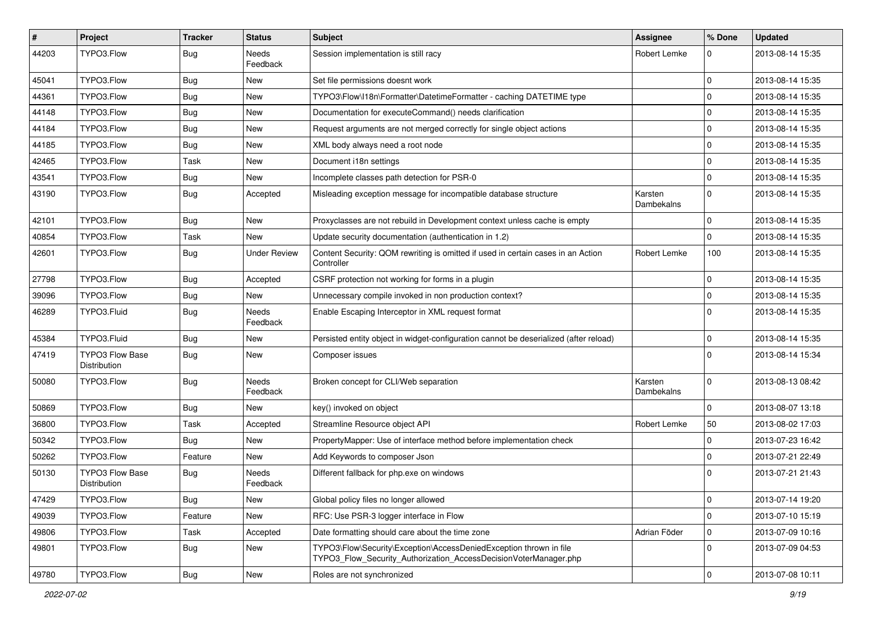| #     | Project                                       | Tracker    | <b>Status</b>            | <b>Subject</b>                                                                                                                         | <b>Assignee</b>       | % Done         | <b>Updated</b>   |
|-------|-----------------------------------------------|------------|--------------------------|----------------------------------------------------------------------------------------------------------------------------------------|-----------------------|----------------|------------------|
| 44203 | TYPO3.Flow                                    | <b>Bug</b> | <b>Needs</b><br>Feedback | Session implementation is still racy                                                                                                   | Robert Lemke          | $\Omega$       | 2013-08-14 15:35 |
| 45041 | TYPO3.Flow                                    | Bug        | New                      | Set file permissions doesnt work                                                                                                       |                       | 0 I            | 2013-08-14 15:35 |
| 44361 | TYPO3.Flow                                    | Bug        | New                      | TYPO3\Flow\I18n\Formatter\DatetimeFormatter - caching DATETIME type                                                                    |                       | $\Omega$       | 2013-08-14 15:35 |
| 44148 | TYPO3.Flow                                    | Bug        | <b>New</b>               | Documentation for executeCommand() needs clarification                                                                                 |                       | $\Omega$       | 2013-08-14 15:35 |
| 44184 | TYPO3.Flow                                    | <b>Bug</b> | New                      | Request arguments are not merged correctly for single object actions                                                                   |                       | $\Omega$       | 2013-08-14 15:35 |
| 44185 | TYPO3.Flow                                    | <b>Bug</b> | <b>New</b>               | XML body always need a root node                                                                                                       |                       | $\Omega$       | 2013-08-14 15:35 |
| 42465 | TYPO3.Flow                                    | Task       | New                      | Document i18n settings                                                                                                                 |                       | $\overline{0}$ | 2013-08-14 15:35 |
| 43541 | TYPO3.Flow                                    | <b>Bug</b> | New                      | Incomplete classes path detection for PSR-0                                                                                            |                       | $\Omega$       | 2013-08-14 15:35 |
| 43190 | TYPO3.Flow                                    | <b>Bug</b> | Accepted                 | Misleading exception message for incompatible database structure                                                                       | Karsten<br>Dambekalns | $\Omega$       | 2013-08-14 15:35 |
| 42101 | TYPO3.Flow                                    | Bug        | New                      | Proxyclasses are not rebuild in Development context unless cache is empty                                                              |                       | $\Omega$       | 2013-08-14 15:35 |
| 40854 | TYPO3.Flow                                    | Task       | New                      | Update security documentation (authentication in 1.2)                                                                                  |                       | $\Omega$       | 2013-08-14 15:35 |
| 42601 | TYPO3.Flow                                    | Bug        | <b>Under Review</b>      | Content Security: QOM rewriting is omitted if used in certain cases in an Action<br>Controller                                         | Robert Lemke          | 100            | 2013-08-14 15:35 |
| 27798 | TYPO3.Flow                                    | Bug        | Accepted                 | CSRF protection not working for forms in a plugin                                                                                      |                       | 0              | 2013-08-14 15:35 |
| 39096 | TYPO3.Flow                                    | <b>Bug</b> | New                      | Unnecessary compile invoked in non production context?                                                                                 |                       | $\mathbf 0$    | 2013-08-14 15:35 |
| 46289 | TYPO3.Fluid                                   | <b>Bug</b> | <b>Needs</b><br>Feedback | Enable Escaping Interceptor in XML request format                                                                                      |                       | $\Omega$       | 2013-08-14 15:35 |
| 45384 | TYPO3.Fluid                                   | Bug        | New                      | Persisted entity object in widget-configuration cannot be deserialized (after reload)                                                  |                       | $\mathbf 0$    | 2013-08-14 15:35 |
| 47419 | <b>TYPO3 Flow Base</b><br>Distribution        | Bug        | New                      | Composer issues                                                                                                                        |                       | l O            | 2013-08-14 15:34 |
| 50080 | TYPO3.Flow                                    | Bug        | <b>Needs</b><br>Feedback | Broken concept for CLI/Web separation                                                                                                  | Karsten<br>Dambekalns | $\Omega$       | 2013-08-13 08:42 |
| 50869 | TYPO3.Flow                                    | Bug        | New                      | key() invoked on object                                                                                                                |                       | $\Omega$       | 2013-08-07 13:18 |
| 36800 | TYPO3.Flow                                    | Task       | Accepted                 | Streamline Resource object API                                                                                                         | Robert Lemke          | 50             | 2013-08-02 17:03 |
| 50342 | TYPO3.Flow                                    | <b>Bug</b> | New                      | PropertyMapper: Use of interface method before implementation check                                                                    |                       | $\mathbf 0$    | 2013-07-23 16:42 |
| 50262 | TYPO3.Flow                                    | Feature    | New                      | Add Keywords to composer Json                                                                                                          |                       | $\mathbf 0$    | 2013-07-21 22:49 |
| 50130 | <b>TYPO3 Flow Base</b><br><b>Distribution</b> | Bug        | Needs<br>Feedback        | Different fallback for php.exe on windows                                                                                              |                       | $\Omega$       | 2013-07-21 21:43 |
| 47429 | TYPO3.Flow                                    | <b>Bug</b> | New                      | Global policy files no longer allowed                                                                                                  |                       | 0              | 2013-07-14 19:20 |
| 49039 | TYPO3.Flow                                    | Feature    | New                      | RFC: Use PSR-3 logger interface in Flow                                                                                                |                       | 0              | 2013-07-10 15:19 |
| 49806 | TYPO3.Flow                                    | Task       | Accepted                 | Date formatting should care about the time zone                                                                                        | Adrian Föder          | 0              | 2013-07-09 10:16 |
| 49801 | TYPO3.Flow                                    | Bug        | New                      | TYPO3\Flow\Security\Exception\AccessDeniedException thrown in file<br>TYPO3 Flow Security Authorization AccessDecisionVoterManager.php |                       | 0 I            | 2013-07-09 04:53 |
| 49780 | TYPO3.Flow                                    | <b>Bug</b> | New                      | Roles are not synchronized                                                                                                             |                       | 0              | 2013-07-08 10:11 |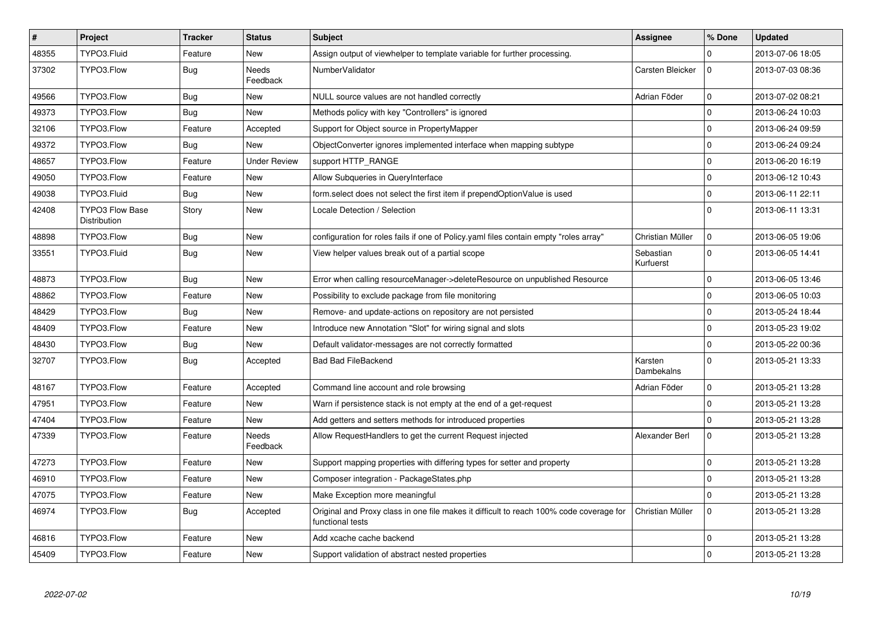| $\vert$ # | Project                                | <b>Tracker</b> | <b>Status</b>            | <b>Subject</b>                                                                                              | Assignee               | % Done      | <b>Updated</b>   |
|-----------|----------------------------------------|----------------|--------------------------|-------------------------------------------------------------------------------------------------------------|------------------------|-------------|------------------|
| 48355     | TYPO3.Fluid                            | Feature        | <b>New</b>               | Assign output of viewhelper to template variable for further processing.                                    |                        | $\Omega$    | 2013-07-06 18:05 |
| 37302     | TYPO3.Flow                             | <b>Bug</b>     | <b>Needs</b><br>Feedback | NumberValidator                                                                                             | Carsten Bleicker       | $\Omega$    | 2013-07-03 08:36 |
| 49566     | TYPO3.Flow                             | Bug            | <b>New</b>               | NULL source values are not handled correctly                                                                | Adrian Föder           | $\mathbf 0$ | 2013-07-02 08:21 |
| 49373     | TYPO3.Flow                             | Bug            | <b>New</b>               | Methods policy with key "Controllers" is ignored                                                            |                        | $\mathbf 0$ | 2013-06-24 10:03 |
| 32106     | TYPO3.Flow                             | Feature        | Accepted                 | Support for Object source in PropertyMapper                                                                 |                        | $\Omega$    | 2013-06-24 09:59 |
| 49372     | TYPO3.Flow                             | Bug            | New                      | ObjectConverter ignores implemented interface when mapping subtype                                          |                        | $\mathbf 0$ | 2013-06-24 09:24 |
| 48657     | TYPO3.Flow                             | Feature        | <b>Under Review</b>      | support HTTP_RANGE                                                                                          |                        | $\mathbf 0$ | 2013-06-20 16:19 |
| 49050     | TYPO3.Flow                             | Feature        | <b>New</b>               | Allow Subqueries in QueryInterface                                                                          |                        | $\mathbf 0$ | 2013-06-12 10:43 |
| 49038     | TYPO3.Fluid                            | <b>Bug</b>     | New                      | form.select does not select the first item if prependOptionValue is used                                    |                        | $\pmb{0}$   | 2013-06-11 22:11 |
| 42408     | <b>TYPO3 Flow Base</b><br>Distribution | Story          | <b>New</b>               | Locale Detection / Selection                                                                                |                        | $\Omega$    | 2013-06-11 13:31 |
| 48898     | TYPO3.Flow                             | <b>Bug</b>     | <b>New</b>               | configuration for roles fails if one of Policy yaml files contain empty "roles array"                       | Christian Müller       | $\mathbf 0$ | 2013-06-05 19:06 |
| 33551     | TYPO3.Fluid                            | Bug            | New                      | View helper values break out of a partial scope                                                             | Sebastian<br>Kurfuerst | $\mathbf 0$ | 2013-06-05 14:41 |
| 48873     | TYPO3.Flow                             | Bug            | <b>New</b>               | Error when calling resourceManager->deleteResource on unpublished Resource                                  |                        | $\mathbf 0$ | 2013-06-05 13:46 |
| 48862     | TYPO3.Flow                             | Feature        | <b>New</b>               | Possibility to exclude package from file monitoring                                                         |                        | $\mathbf 0$ | 2013-06-05 10:03 |
| 48429     | TYPO3.Flow                             | Bug            | <b>New</b>               | Remove- and update-actions on repository are not persisted                                                  |                        | $\mathbf 0$ | 2013-05-24 18:44 |
| 48409     | TYPO3.Flow                             | Feature        | <b>New</b>               | Introduce new Annotation "Slot" for wiring signal and slots                                                 |                        | $\Omega$    | 2013-05-23 19:02 |
| 48430     | TYPO3.Flow                             | Bug            | New                      | Default validator-messages are not correctly formatted                                                      |                        | $\Omega$    | 2013-05-22 00:36 |
| 32707     | TYPO3.Flow                             | <b>Bug</b>     | Accepted                 | <b>Bad Bad FileBackend</b>                                                                                  | Karsten<br>Dambekalns  | $\mathbf 0$ | 2013-05-21 13:33 |
| 48167     | TYPO3.Flow                             | Feature        | Accepted                 | Command line account and role browsing                                                                      | Adrian Föder           | $\mathbf 0$ | 2013-05-21 13:28 |
| 47951     | TYPO3.Flow                             | Feature        | <b>New</b>               | Warn if persistence stack is not empty at the end of a get-request                                          |                        | $\mathbf 0$ | 2013-05-21 13:28 |
| 47404     | TYPO3.Flow                             | Feature        | New                      | Add getters and setters methods for introduced properties                                                   |                        | $\mathbf 0$ | 2013-05-21 13:28 |
| 47339     | TYPO3.Flow                             | Feature        | <b>Needs</b><br>Feedback | Allow RequestHandlers to get the current Request injected                                                   | Alexander Berl         | $\Omega$    | 2013-05-21 13:28 |
| 47273     | TYPO3.Flow                             | Feature        | <b>New</b>               | Support mapping properties with differing types for setter and property                                     |                        | $\pmb{0}$   | 2013-05-21 13:28 |
| 46910     | TYPO3.Flow                             | Feature        | <b>New</b>               | Composer integration - PackageStates.php                                                                    |                        | $\mathbf 0$ | 2013-05-21 13:28 |
| 47075     | TYPO3.Flow                             | Feature        | New                      | Make Exception more meaningful                                                                              |                        | $\mathbf 0$ | 2013-05-21 13:28 |
| 46974     | TYPO3.Flow                             | Bug            | Accepted                 | Original and Proxy class in one file makes it difficult to reach 100% code coverage for<br>functional tests | Christian Müller       | $\Omega$    | 2013-05-21 13:28 |
| 46816     | TYPO3.Flow                             | Feature        | <b>New</b>               | Add xcache cache backend                                                                                    |                        | $\mathbf 0$ | 2013-05-21 13:28 |
| 45409     | TYPO3.Flow                             | Feature        | <b>New</b>               | Support validation of abstract nested properties                                                            |                        | $\mathbf 0$ | 2013-05-21 13:28 |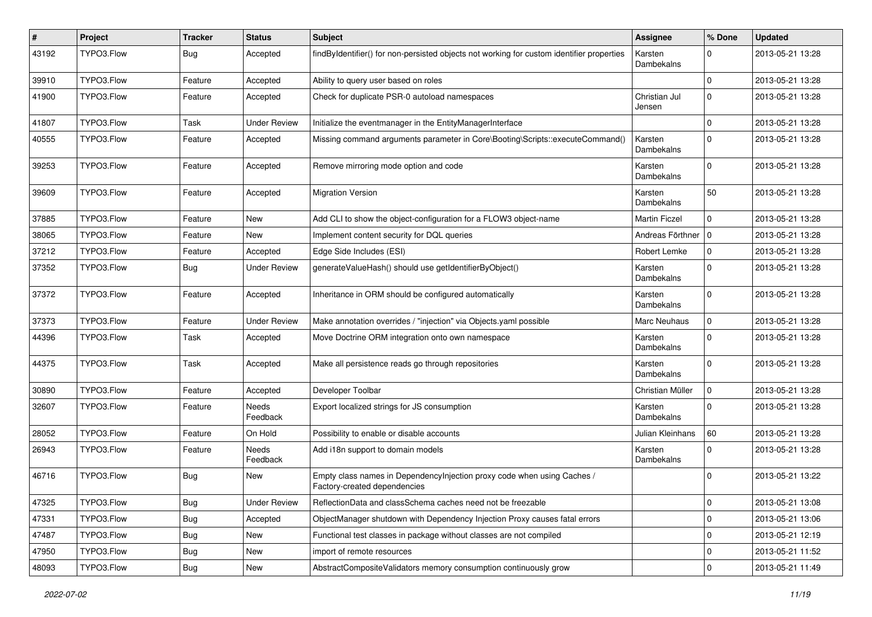| $\vert$ # | Project    | <b>Tracker</b> | <b>Status</b>            | Subject                                                                                                 | Assignee                | % Done       | <b>Updated</b>   |
|-----------|------------|----------------|--------------------------|---------------------------------------------------------------------------------------------------------|-------------------------|--------------|------------------|
| 43192     | TYPO3.Flow | <b>Bug</b>     | Accepted                 | findByIdentifier() for non-persisted objects not working for custom identifier properties               | Karsten<br>Dambekalns   | 0            | 2013-05-21 13:28 |
| 39910     | TYPO3.Flow | Feature        | Accepted                 | Ability to query user based on roles                                                                    |                         | $\mathbf{0}$ | 2013-05-21 13:28 |
| 41900     | TYPO3.Flow | Feature        | Accepted                 | Check for duplicate PSR-0 autoload namespaces                                                           | Christian Jul<br>Jensen | $\mathbf 0$  | 2013-05-21 13:28 |
| 41807     | TYPO3.Flow | Task           | <b>Under Review</b>      | Initialize the eventmanager in the EntityManagerInterface                                               |                         | $\mathbf 0$  | 2013-05-21 13:28 |
| 40555     | TYPO3.Flow | Feature        | Accepted                 | Missing command arguments parameter in Core\Booting\Scripts::executeCommand()                           | Karsten<br>Dambekalns   | $\Omega$     | 2013-05-21 13:28 |
| 39253     | TYPO3.Flow | Feature        | Accepted                 | Remove mirroring mode option and code                                                                   | Karsten<br>Dambekalns   | $\Omega$     | 2013-05-21 13:28 |
| 39609     | TYPO3.Flow | Feature        | Accepted                 | <b>Migration Version</b>                                                                                | Karsten<br>Dambekalns   | 50           | 2013-05-21 13:28 |
| 37885     | TYPO3.Flow | Feature        | New                      | Add CLI to show the object-configuration for a FLOW3 object-name                                        | <b>Martin Ficzel</b>    | $\mathbf 0$  | 2013-05-21 13:28 |
| 38065     | TYPO3.Flow | Feature        | New                      | Implement content security for DQL queries                                                              | Andreas Förthner   0    |              | 2013-05-21 13:28 |
| 37212     | TYPO3.Flow | Feature        | Accepted                 | Edge Side Includes (ESI)                                                                                | Robert Lemke            | $\mathbf 0$  | 2013-05-21 13:28 |
| 37352     | TYPO3.Flow | <b>Bug</b>     | Under Review             | generateValueHash() should use getIdentifierByObject()                                                  | Karsten<br>Dambekalns   | $\Omega$     | 2013-05-21 13:28 |
| 37372     | TYPO3.Flow | Feature        | Accepted                 | Inheritance in ORM should be configured automatically                                                   | Karsten<br>Dambekalns   | $\mathbf 0$  | 2013-05-21 13:28 |
| 37373     | TYPO3.Flow | Feature        | <b>Under Review</b>      | Make annotation overrides / "injection" via Objects.yaml possible                                       | Marc Neuhaus            | $\mathbf 0$  | 2013-05-21 13:28 |
| 44396     | TYPO3.Flow | Task           | Accepted                 | Move Doctrine ORM integration onto own namespace                                                        | Karsten<br>Dambekalns   | $\Omega$     | 2013-05-21 13:28 |
| 44375     | TYPO3.Flow | Task           | Accepted                 | Make all persistence reads go through repositories                                                      | Karsten<br>Dambekalns   | $\mathbf 0$  | 2013-05-21 13:28 |
| 30890     | TYPO3.Flow | Feature        | Accepted                 | Developer Toolbar                                                                                       | Christian Müller        | $\mathbf 0$  | 2013-05-21 13:28 |
| 32607     | TYPO3.Flow | Feature        | Needs<br>Feedback        | Export localized strings for JS consumption                                                             | Karsten<br>Dambekalns   | $\Omega$     | 2013-05-21 13:28 |
| 28052     | TYPO3.Flow | Feature        | On Hold                  | Possibility to enable or disable accounts                                                               | Julian Kleinhans        | 60           | 2013-05-21 13:28 |
| 26943     | TYPO3.Flow | Feature        | <b>Needs</b><br>Feedback | Add i18n support to domain models                                                                       | Karsten<br>Dambekalns   | $\mathbf 0$  | 2013-05-21 13:28 |
| 46716     | TYPO3.Flow | <b>Bug</b>     | New                      | Empty class names in DependencyInjection proxy code when using Caches /<br>Factory-created dependencies |                         | 0            | 2013-05-21 13:22 |
| 47325     | TYPO3.Flow | <b>Bug</b>     | <b>Under Review</b>      | ReflectionData and classSchema caches need not be freezable                                             |                         | $\mathbf 0$  | 2013-05-21 13:08 |
| 47331     | TYPO3.Flow | <b>Bug</b>     | Accepted                 | ObjectManager shutdown with Dependency Injection Proxy causes fatal errors                              |                         | $\mathbf 0$  | 2013-05-21 13:06 |
| 47487     | TYPO3.Flow | <b>Bug</b>     | New                      | Functional test classes in package without classes are not compiled                                     |                         | 0            | 2013-05-21 12:19 |
| 47950     | TYPO3.Flow | <b>Bug</b>     | New                      | import of remote resources                                                                              |                         | $\mathbf 0$  | 2013-05-21 11:52 |
| 48093     | TYPO3.Flow | <b>Bug</b>     | New                      | AbstractCompositeValidators memory consumption continuously grow                                        |                         | $\mathbf 0$  | 2013-05-21 11:49 |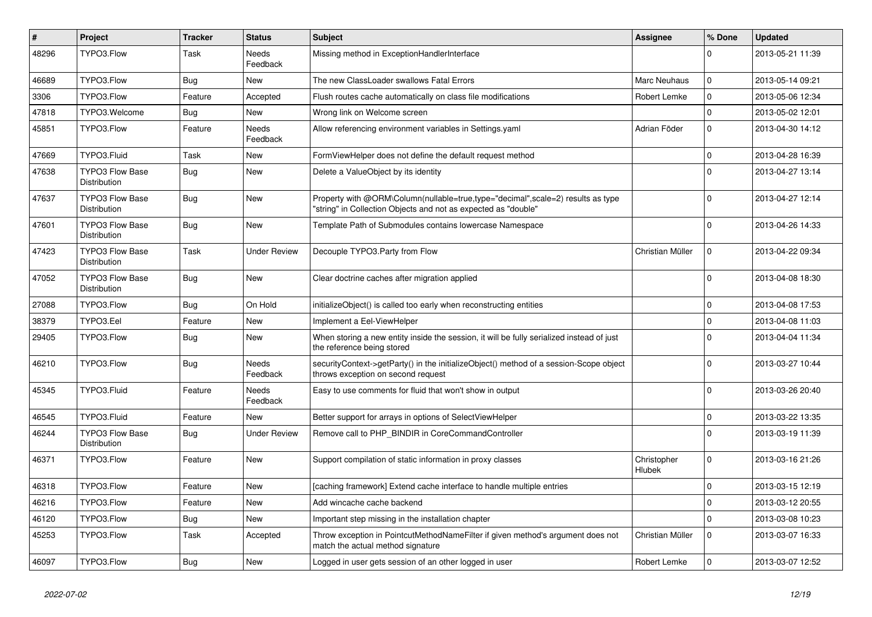| $\sharp$ | <b>Project</b>                                | <b>Tracker</b> | <b>Status</b>            | <b>Subject</b>                                                                                                                                    | <b>Assignee</b>       | % Done      | <b>Updated</b>   |
|----------|-----------------------------------------------|----------------|--------------------------|---------------------------------------------------------------------------------------------------------------------------------------------------|-----------------------|-------------|------------------|
| 48296    | TYPO3.Flow                                    | Task           | <b>Needs</b><br>Feedback | Missing method in ExceptionHandlerInterface                                                                                                       |                       | $\Omega$    | 2013-05-21 11:39 |
| 46689    | TYPO3.Flow                                    | Bug            | <b>New</b>               | The new ClassLoader swallows Fatal Errors                                                                                                         | Marc Neuhaus          | $\mathbf 0$ | 2013-05-14 09:21 |
| 3306     | TYPO3.Flow                                    | Feature        | Accepted                 | Flush routes cache automatically on class file modifications                                                                                      | Robert Lemke          | $\mathbf 0$ | 2013-05-06 12:34 |
| 47818    | TYPO3.Welcome                                 | Bug            | <b>New</b>               | Wrong link on Welcome screen                                                                                                                      |                       | $\mathbf 0$ | 2013-05-02 12:01 |
| 45851    | TYPO3.Flow                                    | Feature        | <b>Needs</b><br>Feedback | Allow referencing environment variables in Settings.yaml                                                                                          | Adrian Föder          | $\Omega$    | 2013-04-30 14:12 |
| 47669    | TYPO3.Fluid                                   | Task           | <b>New</b>               | FormViewHelper does not define the default request method                                                                                         |                       | $\Omega$    | 2013-04-28 16:39 |
| 47638    | <b>TYPO3 Flow Base</b><br><b>Distribution</b> | Bug            | <b>New</b>               | Delete a ValueObject by its identity                                                                                                              |                       | $\Omega$    | 2013-04-27 13:14 |
| 47637    | <b>TYPO3 Flow Base</b><br>Distribution        | <b>Bug</b>     | <b>New</b>               | Property with @ORM\Column(nullable=true,type="decimal",scale=2) results as type<br>"string" in Collection Objects and not as expected as "double" |                       | $\Omega$    | 2013-04-27 12:14 |
| 47601    | <b>TYPO3 Flow Base</b><br><b>Distribution</b> | Bug            | <b>New</b>               | Template Path of Submodules contains lowercase Namespace                                                                                          |                       | $\Omega$    | 2013-04-26 14:33 |
| 47423    | <b>TYPO3 Flow Base</b><br>Distribution        | Task           | <b>Under Review</b>      | Decouple TYPO3.Party from Flow                                                                                                                    | Christian Müller      | $\mathbf 0$ | 2013-04-22 09:34 |
| 47052    | <b>TYPO3 Flow Base</b><br>Distribution        | Bug            | <b>New</b>               | Clear doctrine caches after migration applied                                                                                                     |                       | $\Omega$    | 2013-04-08 18:30 |
| 27088    | TYPO3.Flow                                    | Bug            | On Hold                  | initializeObject() is called too early when reconstructing entities                                                                               |                       | $\Omega$    | 2013-04-08 17:53 |
| 38379    | TYPO3.Eel                                     | Feature        | <b>New</b>               | Implement a Eel-ViewHelper                                                                                                                        |                       | $\Omega$    | 2013-04-08 11:03 |
| 29405    | TYPO3.Flow                                    | Bug            | <b>New</b>               | When storing a new entity inside the session, it will be fully serialized instead of just<br>the reference being stored                           |                       | $\Omega$    | 2013-04-04 11:34 |
| 46210    | TYPO3.Flow                                    | <b>Bug</b>     | Needs<br>Feedback        | securityContext->getParty() in the initializeObject() method of a session-Scope object<br>throws exception on second request                      |                       | $\Omega$    | 2013-03-27 10:44 |
| 45345    | TYPO3.Fluid                                   | Feature        | Needs<br>Feedback        | Easy to use comments for fluid that won't show in output                                                                                          |                       | $\Omega$    | 2013-03-26 20:40 |
| 46545    | TYPO3.Fluid                                   | Feature        | New                      | Better support for arrays in options of SelectViewHelper                                                                                          |                       | $\mathbf 0$ | 2013-03-22 13:35 |
| 46244    | <b>TYPO3 Flow Base</b><br><b>Distribution</b> | <b>Bug</b>     | <b>Under Review</b>      | Remove call to PHP_BINDIR in CoreCommandController                                                                                                |                       | $\Omega$    | 2013-03-19 11:39 |
| 46371    | TYPO3.Flow                                    | Feature        | <b>New</b>               | Support compilation of static information in proxy classes                                                                                        | Christopher<br>Hlubek | $\Omega$    | 2013-03-16 21:26 |
| 46318    | TYPO3.Flow                                    | Feature        | <b>New</b>               | [caching framework] Extend cache interface to handle multiple entries                                                                             |                       | $\mathbf 0$ | 2013-03-15 12:19 |
| 46216    | TYPO3.Flow                                    | Feature        | <b>New</b>               | Add wincache cache backend                                                                                                                        |                       | $\mathbf 0$ | 2013-03-12 20:55 |
| 46120    | TYPO3.Flow                                    | <b>Bug</b>     | <b>New</b>               | Important step missing in the installation chapter                                                                                                |                       | $\mathbf 0$ | 2013-03-08 10:23 |
| 45253    | TYPO3.Flow                                    | Task           | Accepted                 | Throw exception in PointcutMethodNameFilter if given method's argument does not<br>match the actual method signature                              | Christian Müller      | $\Omega$    | 2013-03-07 16:33 |
| 46097    | TYPO3.Flow                                    | <b>Bug</b>     | <b>New</b>               | Logged in user gets session of an other logged in user                                                                                            | Robert Lemke          | $\Omega$    | 2013-03-07 12:52 |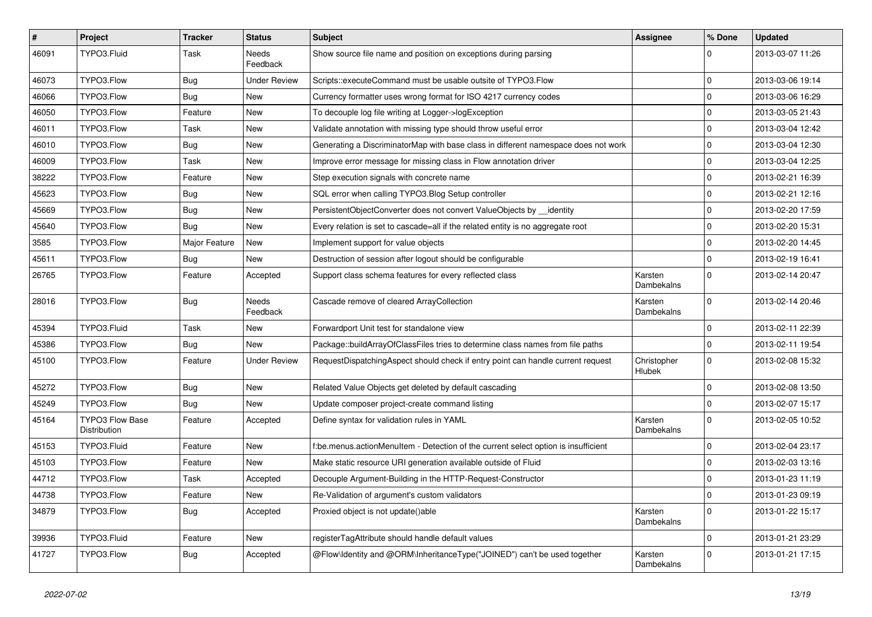| $\sharp$ | Project                                | <b>Tracker</b> | <b>Status</b>       | <b>Subject</b>                                                                     | <b>Assignee</b>       | % Done       | <b>Updated</b>   |
|----------|----------------------------------------|----------------|---------------------|------------------------------------------------------------------------------------|-----------------------|--------------|------------------|
| 46091    | TYPO3.Fluid                            | Task           | Needs<br>Feedback   | Show source file name and position on exceptions during parsing                    |                       |              | 2013-03-07 11:26 |
| 46073    | TYPO3.Flow                             | <b>Bug</b>     | <b>Under Review</b> | Scripts::executeCommand must be usable outsite of TYPO3.Flow                       |                       | $\mathbf 0$  | 2013-03-06 19:14 |
| 46066    | TYPO3.Flow                             | <b>Bug</b>     | New                 | Currency formatter uses wrong format for ISO 4217 currency codes                   |                       | $\mathbf 0$  | 2013-03-06 16:29 |
| 46050    | TYPO3.Flow                             | Feature        | New                 | To decouple log file writing at Logger->logException                               |                       | $\mathbf 0$  | 2013-03-05 21:43 |
| 46011    | TYPO3.Flow                             | Task           | New                 | Validate annotation with missing type should throw useful error                    |                       | $\mathbf 0$  | 2013-03-04 12:42 |
| 46010    | TYPO3.Flow                             | <b>Bug</b>     | New                 | Generating a DiscriminatorMap with base class in different namespace does not work |                       | $\mathbf 0$  | 2013-03-04 12:30 |
| 46009    | TYPO3.Flow                             | Task           | New                 | Improve error message for missing class in Flow annotation driver                  |                       | $\mathbf 0$  | 2013-03-04 12:25 |
| 38222    | TYPO3.Flow                             | Feature        | New                 | Step execution signals with concrete name                                          |                       | $\mathbf 0$  | 2013-02-21 16:39 |
| 45623    | TYPO3.Flow                             | <b>Bug</b>     | <b>New</b>          | SQL error when calling TYPO3. Blog Setup controller                                |                       | 0            | 2013-02-21 12:16 |
| 45669    | TYPO3.Flow                             | Bug            | New                 | PersistentObjectConverter does not convert ValueObjects by identity                |                       | $\mathbf 0$  | 2013-02-20 17:59 |
| 45640    | TYPO3.Flow                             | Bug            | New                 | Every relation is set to cascade=all if the related entity is no aggregate root    |                       | $\mathbf 0$  | 2013-02-20 15:31 |
| 3585     | TYPO3.Flow                             | Major Feature  | New                 | Implement support for value objects                                                |                       | $\mathbf 0$  | 2013-02-20 14:45 |
| 45611    | TYPO3.Flow                             | <b>Bug</b>     | New                 | Destruction of session after logout should be configurable                         |                       | $\mathbf 0$  | 2013-02-19 16:41 |
| 26765    | TYPO3.Flow                             | Feature        | Accepted            | Support class schema features for every reflected class                            | Karsten<br>Dambekalns | $\Omega$     | 2013-02-14 20:47 |
| 28016    | TYPO3.Flow                             | <b>Bug</b>     | Needs<br>Feedback   | Cascade remove of cleared ArrayCollection                                          | Karsten<br>Dambekalns | $\Omega$     | 2013-02-14 20:46 |
| 45394    | TYPO3.Fluid                            | Task           | New                 | Forwardport Unit test for standalone view                                          |                       | $\mathbf 0$  | 2013-02-11 22:39 |
| 45386    | TYPO3.Flow                             | Bug            | New                 | Package::buildArrayOfClassFiles tries to determine class names from file paths     |                       | $\mathbf 0$  | 2013-02-11 19:54 |
| 45100    | TYPO3.Flow                             | Feature        | <b>Under Review</b> | RequestDispatchingAspect should check if entry point can handle current request    | Christopher<br>Hlubek | $\Omega$     | 2013-02-08 15:32 |
| 45272    | TYPO3.Flow                             | <b>Bug</b>     | New                 | Related Value Objects get deleted by default cascading                             |                       | $\mathbf 0$  | 2013-02-08 13:50 |
| 45249    | TYPO3.Flow                             | <b>Bug</b>     | New                 | Update composer project-create command listing                                     |                       | $\mathbf 0$  | 2013-02-07 15:17 |
| 45164    | <b>TYPO3 Flow Base</b><br>Distribution | Feature        | Accepted            | Define syntax for validation rules in YAML                                         | Karsten<br>Dambekalns | $\mathbf 0$  | 2013-02-05 10:52 |
| 45153    | TYPO3.Fluid                            | Feature        | New                 | f:be.menus.actionMenuItem - Detection of the current select option is insufficient |                       | $\mathbf 0$  | 2013-02-04 23:17 |
| 45103    | TYPO3.Flow                             | Feature        | New                 | Make static resource URI generation available outside of Fluid                     |                       | $\mathbf 0$  | 2013-02-03 13:16 |
| 44712    | TYPO3.Flow                             | Task           | Accepted            | Decouple Argument-Building in the HTTP-Request-Constructor                         |                       | $\mathbf 0$  | 2013-01-23 11:19 |
| 44738    | TYPO3.Flow                             | Feature        | New                 | Re-Validation of argument's custom validators                                      |                       | $\mathbf{0}$ | 2013-01-23 09:19 |
| 34879    | TYPO3.Flow                             | <b>Bug</b>     | Accepted            | Proxied object is not update()able                                                 | Karsten<br>Dambekalns | $\mathbf 0$  | 2013-01-22 15:17 |
| 39936    | TYPO3.Fluid                            | Feature        | New                 | registerTagAttribute should handle default values                                  |                       | $\pmb{0}$    | 2013-01-21 23:29 |
| 41727    | TYPO3.Flow                             | <b>Bug</b>     | Accepted            | @Flow\Identity and @ORM\InheritanceType("JOINED") can't be used together           | Karsten<br>Dambekalns | 0            | 2013-01-21 17:15 |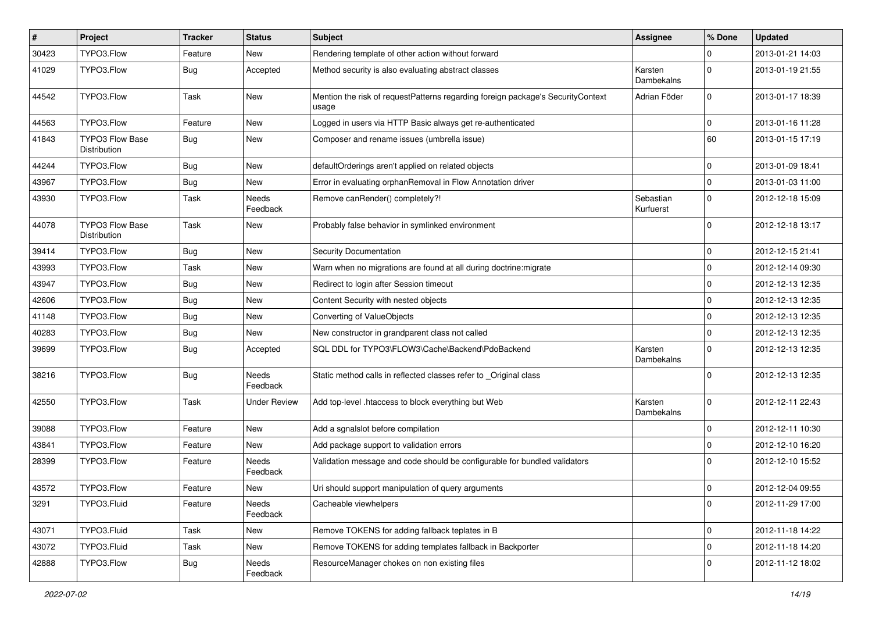| #     | Project                                | <b>Tracker</b> | <b>Status</b>            | Subject                                                                                  | <b>Assignee</b>        | % Done      | <b>Updated</b>   |
|-------|----------------------------------------|----------------|--------------------------|------------------------------------------------------------------------------------------|------------------------|-------------|------------------|
| 30423 | TYPO3.Flow                             | Feature        | New                      | Rendering template of other action without forward                                       |                        | 0           | 2013-01-21 14:03 |
| 41029 | TYPO3.Flow                             | <b>Bug</b>     | Accepted                 | Method security is also evaluating abstract classes                                      | Karsten<br>Dambekalns  | $\Omega$    | 2013-01-19 21:55 |
| 44542 | TYPO3.Flow                             | Task           | New                      | Mention the risk of requestPatterns regarding foreign package's SecurityContext<br>usage | Adrian Föder           | $\mathbf 0$ | 2013-01-17 18:39 |
| 44563 | TYPO3.Flow                             | Feature        | New                      | Logged in users via HTTP Basic always get re-authenticated                               |                        | $\mathbf 0$ | 2013-01-16 11:28 |
| 41843 | <b>TYPO3 Flow Base</b><br>Distribution | <b>Bug</b>     | New                      | Composer and rename issues (umbrella issue)                                              |                        | 60          | 2013-01-15 17:19 |
| 44244 | TYPO3.Flow                             | <b>Bug</b>     | New                      | defaultOrderings aren't applied on related objects                                       |                        | $\mathbf 0$ | 2013-01-09 18:41 |
| 43967 | TYPO3.Flow                             | Bug            | New                      | Error in evaluating orphanRemoval in Flow Annotation driver                              |                        | $\mathbf 0$ | 2013-01-03 11:00 |
| 43930 | TYPO3.Flow                             | Task           | Needs<br>Feedback        | Remove canRender() completely?!                                                          | Sebastian<br>Kurfuerst | $\mathbf 0$ | 2012-12-18 15:09 |
| 44078 | TYPO3 Flow Base<br>Distribution        | Task           | New                      | Probably false behavior in symlinked environment                                         |                        | $\Omega$    | 2012-12-18 13:17 |
| 39414 | TYPO3.Flow                             | <b>Bug</b>     | <b>New</b>               | Security Documentation                                                                   |                        | $\mathbf 0$ | 2012-12-15 21:41 |
| 43993 | TYPO3.Flow                             | Task           | <b>New</b>               | Warn when no migrations are found at all during doctrine: migrate                        |                        | 0           | 2012-12-14 09:30 |
| 43947 | TYPO3.Flow                             | Bug            | New                      | Redirect to login after Session timeout                                                  |                        | $\mathbf 0$ | 2012-12-13 12:35 |
| 42606 | TYPO3.Flow                             | <b>Bug</b>     | New                      | Content Security with nested objects                                                     |                        | $\mathbf 0$ | 2012-12-13 12:35 |
| 41148 | TYPO3.Flow                             | Bug            | New                      | Converting of ValueObjects                                                               |                        | 0           | 2012-12-13 12:35 |
| 40283 | TYPO3.Flow                             | <b>Bug</b>     | New                      | New constructor in grandparent class not called                                          |                        | $\mathbf 0$ | 2012-12-13 12:35 |
| 39699 | TYPO3.Flow                             | <b>Bug</b>     | Accepted                 | SQL DDL for TYPO3\FLOW3\Cache\Backend\PdoBackend                                         | Karsten<br>Dambekalns  | $\Omega$    | 2012-12-13 12:35 |
| 38216 | TYPO3.Flow                             | <b>Bug</b>     | Needs<br>Feedback        | Static method calls in reflected classes refer to _Original class                        |                        | $\Omega$    | 2012-12-13 12:35 |
| 42550 | TYPO3.Flow                             | Task           | <b>Under Review</b>      | Add top-level .htaccess to block everything but Web                                      | Karsten<br>Dambekalns  | $\mathbf 0$ | 2012-12-11 22:43 |
| 39088 | TYPO3.Flow                             | Feature        | <b>New</b>               | Add a sgnalslot before compilation                                                       |                        | $\mathbf 0$ | 2012-12-11 10:30 |
| 43841 | TYPO3.Flow                             | Feature        | New                      | Add package support to validation errors                                                 |                        | $\mathbf 0$ | 2012-12-10 16:20 |
| 28399 | TYPO3.Flow                             | Feature        | <b>Needs</b><br>Feedback | Validation message and code should be configurable for bundled validators                |                        | $\Omega$    | 2012-12-10 15:52 |
| 43572 | TYPO3.Flow                             | Feature        | New                      | Uri should support manipulation of query arguments                                       |                        | $\mathbf 0$ | 2012-12-04 09:55 |
| 3291  | TYPO3.Fluid                            | Feature        | Needs<br>Feedback        | Cacheable viewhelpers                                                                    |                        | 0           | 2012-11-29 17:00 |
| 43071 | TYPO3.Fluid                            | Task           | New                      | Remove TOKENS for adding fallback teplates in B                                          |                        | $\mathbf 0$ | 2012-11-18 14:22 |
| 43072 | TYPO3.Fluid                            | Task           | New                      | Remove TOKENS for adding templates fallback in Backporter                                |                        | $\mathbf 0$ | 2012-11-18 14:20 |
| 42888 | TYPO3.Flow                             | <b>Bug</b>     | Needs<br>Feedback        | ResourceManager chokes on non existing files                                             |                        | 0           | 2012-11-12 18:02 |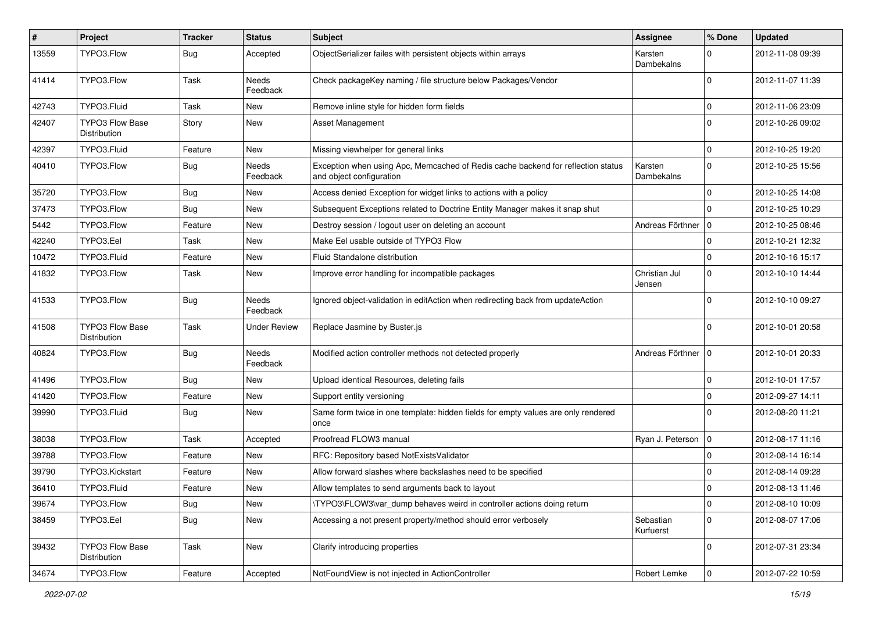| #     | Project                                | <b>Tracker</b> | <b>Status</b>            | <b>Subject</b>                                                                                               | <b>Assignee</b>         | % Done      | <b>Updated</b>   |
|-------|----------------------------------------|----------------|--------------------------|--------------------------------------------------------------------------------------------------------------|-------------------------|-------------|------------------|
| 13559 | TYPO3.Flow                             | <b>Bug</b>     | Accepted                 | ObjectSerializer failes with persistent objects within arrays                                                | Karsten<br>Dambekalns   | $\Omega$    | 2012-11-08 09:39 |
| 41414 | TYPO3.Flow                             | Task           | <b>Needs</b><br>Feedback | Check packageKey naming / file structure below Packages/Vendor                                               |                         | $\Omega$    | 2012-11-07 11:39 |
| 42743 | TYPO3.Fluid                            | Task           | <b>New</b>               | Remove inline style for hidden form fields                                                                   |                         | $\mathbf 0$ | 2012-11-06 23:09 |
| 42407 | <b>TYPO3 Flow Base</b><br>Distribution | Story          | New                      | <b>Asset Management</b>                                                                                      |                         | $\Omega$    | 2012-10-26 09:02 |
| 42397 | TYPO3.Fluid                            | Feature        | New                      | Missing viewhelper for general links                                                                         |                         | $\mathbf 0$ | 2012-10-25 19:20 |
| 40410 | TYPO3.Flow                             | <b>Bug</b>     | Needs<br>Feedback        | Exception when using Apc, Memcached of Redis cache backend for reflection status<br>and object configuration | Karsten<br>Dambekalns   | $\mathbf 0$ | 2012-10-25 15:56 |
| 35720 | TYPO3.Flow                             | <b>Bug</b>     | New                      | Access denied Exception for widget links to actions with a policy                                            |                         | $\mathbf 0$ | 2012-10-25 14:08 |
| 37473 | TYPO3.Flow                             | <b>Bug</b>     | New                      | Subsequent Exceptions related to Doctrine Entity Manager makes it snap shut                                  |                         | $\Omega$    | 2012-10-25 10:29 |
| 5442  | TYPO3.Flow                             | Feature        | <b>New</b>               | Destroy session / logout user on deleting an account                                                         | Andreas Förthner   0    |             | 2012-10-25 08:46 |
| 42240 | TYPO3.Eel                              | Task           | New                      | Make Eel usable outside of TYPO3 Flow                                                                        |                         | $\mathbf 0$ | 2012-10-21 12:32 |
| 10472 | TYPO3.Fluid                            | Feature        | New                      | Fluid Standalone distribution                                                                                |                         | $\mathbf 0$ | 2012-10-16 15:17 |
| 41832 | TYPO3.Flow                             | Task           | New                      | Improve error handling for incompatible packages                                                             | Christian Jul<br>Jensen | $\mathbf 0$ | 2012-10-10 14:44 |
| 41533 | TYPO3.Flow                             | <b>Bug</b>     | <b>Needs</b><br>Feedback | Ignored object-validation in editAction when redirecting back from updateAction                              |                         | $\Omega$    | 2012-10-10 09:27 |
| 41508 | TYPO3 Flow Base<br>Distribution        | Task           | <b>Under Review</b>      | Replace Jasmine by Buster.js                                                                                 |                         | $\Omega$    | 2012-10-01 20:58 |
| 40824 | TYPO3.Flow                             | Bug            | Needs<br>Feedback        | Modified action controller methods not detected properly                                                     | Andreas Förthner        | 0           | 2012-10-01 20:33 |
| 41496 | TYPO3.Flow                             | Bug            | <b>New</b>               | Upload identical Resources, deleting fails                                                                   |                         | $\mathbf 0$ | 2012-10-01 17:57 |
| 41420 | TYPO3.Flow                             | Feature        | New                      | Support entity versioning                                                                                    |                         | $\mathbf 0$ | 2012-09-27 14:11 |
| 39990 | TYPO3.Fluid                            | <b>Bug</b>     | New                      | Same form twice in one template: hidden fields for empty values are only rendered<br>once                    |                         | $\Omega$    | 2012-08-20 11:21 |
| 38038 | TYPO3.Flow                             | Task           | Accepted                 | Proofread FLOW3 manual                                                                                       | Ryan J. Peterson        | $\mathbf 0$ | 2012-08-17 11:16 |
| 39788 | TYPO3.Flow                             | Feature        | New                      | RFC: Repository based NotExistsValidator                                                                     |                         | 0           | 2012-08-14 16:14 |
| 39790 | TYPO3.Kickstart                        | Feature        | New                      | Allow forward slashes where backslashes need to be specified                                                 |                         | $\mathbf 0$ | 2012-08-14 09:28 |
| 36410 | TYPO3.Fluid                            | Feature        | New                      | Allow templates to send arguments back to layout                                                             |                         | 0           | 2012-08-13 11:46 |
| 39674 | TYPO3.Flow                             | <b>Bug</b>     | New                      | \TYPO3\FLOW3\var_dump behaves weird in controller actions doing return                                       |                         | 0           | 2012-08-10 10:09 |
| 38459 | TYPO3.Eel                              | <b>Bug</b>     | New                      | Accessing a not present property/method should error verbosely                                               | Sebastian<br>Kurfuerst  | $\mathbf 0$ | 2012-08-07 17:06 |
| 39432 | <b>TYPO3 Flow Base</b><br>Distribution | Task           | New                      | Clarify introducing properties                                                                               |                         | $\mathbf 0$ | 2012-07-31 23:34 |
| 34674 | TYPO3.Flow                             | Feature        | Accepted                 | NotFoundView is not injected in ActionController                                                             | Robert Lemke            | $\mathbf 0$ | 2012-07-22 10:59 |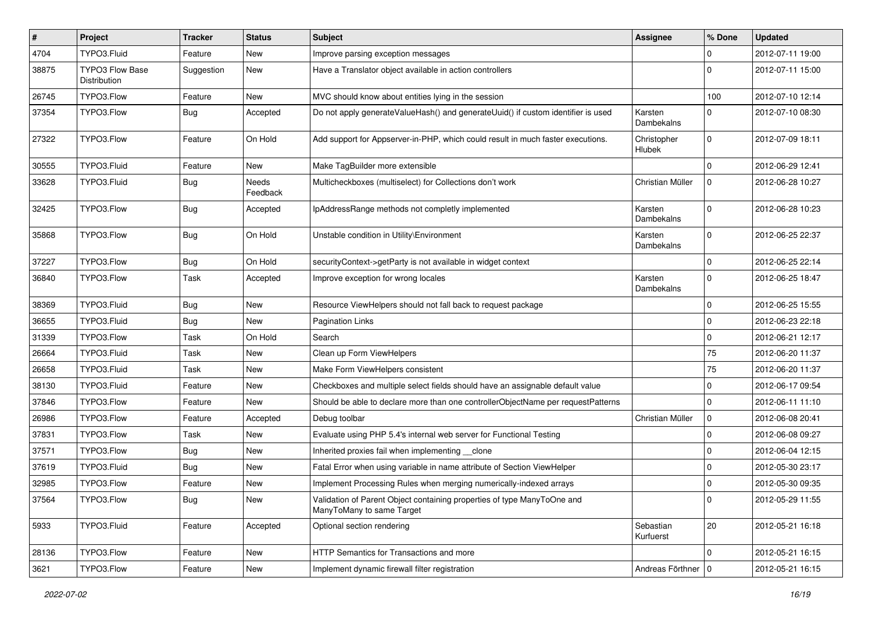| $\pmb{\#}$ | Project                                | <b>Tracker</b> | <b>Status</b>            | <b>Subject</b>                                                                                       | <b>Assignee</b>        | % Done      | <b>Updated</b>   |
|------------|----------------------------------------|----------------|--------------------------|------------------------------------------------------------------------------------------------------|------------------------|-------------|------------------|
| 4704       | TYPO3.Fluid                            | Feature        | <b>New</b>               | Improve parsing exception messages                                                                   |                        | 0           | 2012-07-11 19:00 |
| 38875      | <b>TYPO3 Flow Base</b><br>Distribution | Suggestion     | New                      | Have a Translator object available in action controllers                                             |                        | $\Omega$    | 2012-07-11 15:00 |
| 26745      | TYPO3.Flow                             | Feature        | New                      | MVC should know about entities lying in the session                                                  |                        | 100         | 2012-07-10 12:14 |
| 37354      | TYPO3.Flow                             | Bug            | Accepted                 | Do not apply generateValueHash() and generateUuid() if custom identifier is used                     | Karsten<br>Dambekalns  | 0           | 2012-07-10 08:30 |
| 27322      | TYPO3.Flow                             | Feature        | On Hold                  | Add support for Appserver-in-PHP, which could result in much faster executions.                      | Christopher<br>Hlubek  | $\mathbf 0$ | 2012-07-09 18:11 |
| 30555      | TYPO3.Fluid                            | Feature        | New                      | Make TagBuilder more extensible                                                                      |                        | $\Omega$    | 2012-06-29 12:41 |
| 33628      | TYPO3.Fluid                            | <b>Bug</b>     | <b>Needs</b><br>Feedback | Multicheckboxes (multiselect) for Collections don't work                                             | Christian Müller       | $\mathbf 0$ | 2012-06-28 10:27 |
| 32425      | TYPO3.Flow                             | <b>Bug</b>     | Accepted                 | IpAddressRange methods not completly implemented                                                     | Karsten<br>Dambekalns  | $\Omega$    | 2012-06-28 10:23 |
| 35868      | TYPO3.Flow                             | <b>Bug</b>     | On Hold                  | Unstable condition in Utility\Environment                                                            | Karsten<br>Dambekalns  | $\Omega$    | 2012-06-25 22:37 |
| 37227      | TYPO3.Flow                             | <b>Bug</b>     | On Hold                  | securityContext->getParty is not available in widget context                                         |                        | 0           | 2012-06-25 22:14 |
| 36840      | TYPO3.Flow                             | Task           | Accepted                 | Improve exception for wrong locales                                                                  | Karsten<br>Dambekalns  | 0           | 2012-06-25 18:47 |
| 38369      | TYPO3.Fluid                            | Bug            | New                      | Resource ViewHelpers should not fall back to request package                                         |                        | 0           | 2012-06-25 15:55 |
| 36655      | TYPO3.Fluid                            | Bug            | <b>New</b>               | <b>Pagination Links</b>                                                                              |                        | 0           | 2012-06-23 22:18 |
| 31339      | TYPO3.Flow                             | Task           | On Hold                  | Search                                                                                               |                        | 0           | 2012-06-21 12:17 |
| 26664      | TYPO3.Fluid                            | Task           | New                      | Clean up Form ViewHelpers                                                                            |                        | 75          | 2012-06-20 11:37 |
| 26658      | TYPO3.Fluid                            | Task           | New                      | Make Form ViewHelpers consistent                                                                     |                        | 75          | 2012-06-20 11:37 |
| 38130      | TYPO3.Fluid                            | Feature        | New                      | Checkboxes and multiple select fields should have an assignable default value                        |                        | 0           | 2012-06-17 09:54 |
| 37846      | TYPO3.Flow                             | Feature        | New                      | Should be able to declare more than one controllerObjectName per requestPatterns                     |                        | $\mathbf 0$ | 2012-06-11 11:10 |
| 26986      | TYPO3.Flow                             | Feature        | Accepted                 | Debug toolbar                                                                                        | Christian Müller       | 0           | 2012-06-08 20:41 |
| 37831      | TYPO3.Flow                             | Task           | New                      | Evaluate using PHP 5.4's internal web server for Functional Testing                                  |                        | $\mathbf 0$ | 2012-06-08 09:27 |
| 37571      | TYPO3.Flow                             | Bug            | New                      | Inherited proxies fail when implementing __clone                                                     |                        | 0           | 2012-06-04 12:15 |
| 37619      | TYPO3.Fluid                            | Bug            | New                      | Fatal Error when using variable in name attribute of Section ViewHelper                              |                        | $\mathbf 0$ | 2012-05-30 23:17 |
| 32985      | TYPO3.Flow                             | Feature        | New                      | Implement Processing Rules when merging numerically-indexed arrays                                   |                        | 0           | 2012-05-30 09:35 |
| 37564      | TYPO3.Flow                             | <b>Bug</b>     | New                      | Validation of Parent Object containing properties of type ManyToOne and<br>ManyToMany to same Target |                        | 0           | 2012-05-29 11:55 |
| 5933       | TYPO3.Fluid                            | Feature        | Accepted                 | Optional section rendering                                                                           | Sebastian<br>Kurfuerst | 20          | 2012-05-21 16:18 |
| 28136      | TYPO3.Flow                             | Feature        | New                      | HTTP Semantics for Transactions and more                                                             |                        | $\mathbf 0$ | 2012-05-21 16:15 |
| 3621       | TYPO3.Flow                             | Feature        | New                      | Implement dynamic firewall filter registration                                                       | Andreas Förthner   0   |             | 2012-05-21 16:15 |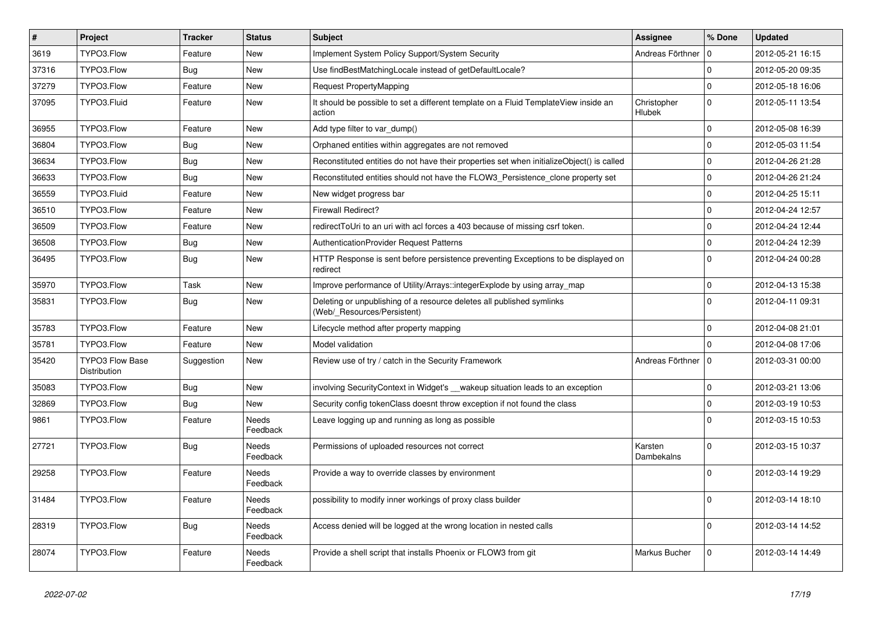| $\vert$ # | Project                                | <b>Tracker</b> | <b>Status</b>            | <b>Subject</b>                                                                                       | <b>Assignee</b>              | % Done      | <b>Updated</b>   |
|-----------|----------------------------------------|----------------|--------------------------|------------------------------------------------------------------------------------------------------|------------------------------|-------------|------------------|
| 3619      | TYPO3.Flow                             | Feature        | <b>New</b>               | Implement System Policy Support/System Security                                                      | Andreas Förthner             | 0           | 2012-05-21 16:15 |
| 37316     | TYPO3.Flow                             | Bug            | <b>New</b>               | Use findBestMatchingLocale instead of getDefaultLocale?                                              |                              | $\Omega$    | 2012-05-20 09:35 |
| 37279     | TYPO3.Flow                             | Feature        | <b>New</b>               | Request PropertyMapping                                                                              |                              | $\mathbf 0$ | 2012-05-18 16:06 |
| 37095     | TYPO3.Fluid                            | Feature        | New                      | It should be possible to set a different template on a Fluid TemplateView inside an<br>action        | Christopher<br><b>Hlubek</b> | $\Omega$    | 2012-05-11 13:54 |
| 36955     | TYPO3.Flow                             | Feature        | <b>New</b>               | Add type filter to var_dump()                                                                        |                              | $\mathbf 0$ | 2012-05-08 16:39 |
| 36804     | TYPO3.Flow                             | Bug            | <b>New</b>               | Orphaned entities within aggregates are not removed                                                  |                              | $\mathbf 0$ | 2012-05-03 11:54 |
| 36634     | TYPO3.Flow                             | <b>Bug</b>     | New                      | Reconstituted entities do not have their properties set when initializeObject() is called            |                              | $\mathbf 0$ | 2012-04-26 21:28 |
| 36633     | TYPO3.Flow                             | <b>Bug</b>     | New                      | Reconstituted entities should not have the FLOW3_Persistence_clone property set                      |                              | $\mathbf 0$ | 2012-04-26 21:24 |
| 36559     | TYPO3.Fluid                            | Feature        | New                      | New widget progress bar                                                                              |                              | $\mathbf 0$ | 2012-04-25 15:11 |
| 36510     | TYPO3.Flow                             | Feature        | New                      | <b>Firewall Redirect?</b>                                                                            |                              | $\Omega$    | 2012-04-24 12:57 |
| 36509     | TYPO3.Flow                             | Feature        | New                      | redirectToUri to an uri with acl forces a 403 because of missing csrf token.                         |                              | $\Omega$    | 2012-04-24 12:44 |
| 36508     | TYPO3.Flow                             | <b>Bug</b>     | <b>New</b>               | <b>AuthenticationProvider Request Patterns</b>                                                       |                              | $\Omega$    | 2012-04-24 12:39 |
| 36495     | TYPO3.Flow                             | <b>Bug</b>     | <b>New</b>               | HTTP Response is sent before persistence preventing Exceptions to be displayed on<br>redirect        |                              | $\Omega$    | 2012-04-24 00:28 |
| 35970     | TYPO3.Flow                             | Task           | New                      | Improve performance of Utility/Arrays::integerExplode by using array_map                             |                              | $\mathbf 0$ | 2012-04-13 15:38 |
| 35831     | TYPO3.Flow                             | Bug            | New                      | Deleting or unpublishing of a resource deletes all published symlinks<br>(Web/ Resources/Persistent) |                              | $\Omega$    | 2012-04-11 09:31 |
| 35783     | TYPO3.Flow                             | Feature        | <b>New</b>               | Lifecycle method after property mapping                                                              |                              | $\mathbf 0$ | 2012-04-08 21:01 |
| 35781     | TYPO3.Flow                             | Feature        | <b>New</b>               | Model validation                                                                                     |                              | $\Omega$    | 2012-04-08 17:06 |
| 35420     | <b>TYPO3 Flow Base</b><br>Distribution | Suggestion     | <b>New</b>               | Review use of try / catch in the Security Framework                                                  | Andreas Förthner             | $\mathbf 0$ | 2012-03-31 00:00 |
| 35083     | TYPO3.Flow                             | <b>Bug</b>     | <b>New</b>               | involving SecurityContext in Widget's __wakeup situation leads to an exception                       |                              | $\Omega$    | 2012-03-21 13:06 |
| 32869     | TYPO3.Flow                             | <b>Bug</b>     | <b>New</b>               | Security config tokenClass doesnt throw exception if not found the class                             |                              | $\Omega$    | 2012-03-19 10:53 |
| 9861      | TYPO3.Flow                             | Feature        | <b>Needs</b><br>Feedback | Leave logging up and running as long as possible                                                     |                              | $\Omega$    | 2012-03-15 10:53 |
| 27721     | TYPO3.Flow                             | Bug            | Needs<br>Feedback        | Permissions of uploaded resources not correct                                                        | Karsten<br>Dambekalns        | $\Omega$    | 2012-03-15 10:37 |
| 29258     | TYPO3.Flow                             | Feature        | Needs<br>Feedback        | Provide a way to override classes by environment                                                     |                              | $\Omega$    | 2012-03-14 19:29 |
| 31484     | TYPO3.Flow                             | Feature        | Needs<br>Feedback        | possibility to modify inner workings of proxy class builder                                          |                              | $\Omega$    | 2012-03-14 18:10 |
| 28319     | TYPO3.Flow                             | <b>Bug</b>     | Needs<br>Feedback        | Access denied will be logged at the wrong location in nested calls                                   |                              | $\Omega$    | 2012-03-14 14:52 |
| 28074     | TYPO3.Flow                             | Feature        | <b>Needs</b><br>Feedback | Provide a shell script that installs Phoenix or FLOW3 from git                                       | Markus Bucher                | $\Omega$    | 2012-03-14 14:49 |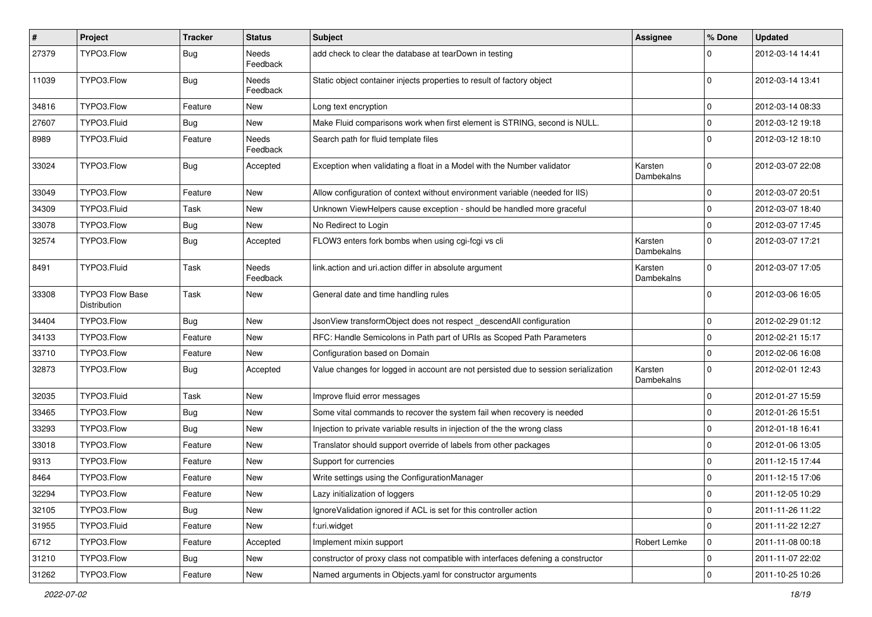| #     | Project                                | <b>Tracker</b> | <b>Status</b>            | <b>Subject</b>                                                                     | Assignee              | % Done      | <b>Updated</b>   |
|-------|----------------------------------------|----------------|--------------------------|------------------------------------------------------------------------------------|-----------------------|-------------|------------------|
| 27379 | TYPO3.Flow                             | <b>Bug</b>     | Needs<br>Feedback        | add check to clear the database at tearDown in testing                             |                       |             | 2012-03-14 14:41 |
| 11039 | TYPO3.Flow                             | Bug            | Needs<br>Feedback        | Static object container injects properties to result of factory object             |                       | $\Omega$    | 2012-03-14 13:41 |
| 34816 | TYPO3.Flow                             | Feature        | New                      | Long text encryption                                                               |                       | $\mathbf 0$ | 2012-03-14 08:33 |
| 27607 | TYPO3.Fluid                            | Bug            | New                      | Make Fluid comparisons work when first element is STRING, second is NULL.          |                       | $\mathbf 0$ | 2012-03-12 19:18 |
| 8989  | TYPO3.Fluid                            | Feature        | <b>Needs</b><br>Feedback | Search path for fluid template files                                               |                       | $\Omega$    | 2012-03-12 18:10 |
| 33024 | TYPO3.Flow                             | <b>Bug</b>     | Accepted                 | Exception when validating a float in a Model with the Number validator             | Karsten<br>Dambekalns | $\Omega$    | 2012-03-07 22:08 |
| 33049 | TYPO3.Flow                             | Feature        | New                      | Allow configuration of context without environment variable (needed for IIS)       |                       | $\mathbf 0$ | 2012-03-07 20:51 |
| 34309 | TYPO3.Fluid                            | Task           | New                      | Unknown ViewHelpers cause exception - should be handled more graceful              |                       | $\mathbf 0$ | 2012-03-07 18:40 |
| 33078 | TYPO3.Flow                             | <b>Bug</b>     | New                      | No Redirect to Login                                                               |                       | $\Omega$    | 2012-03-07 17:45 |
| 32574 | TYPO3.Flow                             | <b>Bug</b>     | Accepted                 | FLOW3 enters fork bombs when using cgi-fcgi vs cli                                 | Karsten<br>Dambekalns | $\Omega$    | 2012-03-07 17:21 |
| 8491  | TYPO3.Fluid                            | Task           | Needs<br>Feedback        | link.action and uri.action differ in absolute argument                             | Karsten<br>Dambekalns | $\Omega$    | 2012-03-07 17:05 |
| 33308 | <b>TYPO3 Flow Base</b><br>Distribution | Task           | New                      | General date and time handling rules                                               |                       | $\Omega$    | 2012-03-06 16:05 |
| 34404 | TYPO3.Flow                             | <b>Bug</b>     | New                      | JsonView transformObject does not respect _descendAll configuration                |                       | $\mathbf 0$ | 2012-02-29 01:12 |
| 34133 | TYPO3.Flow                             | Feature        | New                      | RFC: Handle Semicolons in Path part of URIs as Scoped Path Parameters              |                       | 0           | 2012-02-21 15:17 |
| 33710 | TYPO3.Flow                             | Feature        | New                      | Configuration based on Domain                                                      |                       | $\mathbf 0$ | 2012-02-06 16:08 |
| 32873 | TYPO3.Flow                             | Bug            | Accepted                 | Value changes for logged in account are not persisted due to session serialization | Karsten<br>Dambekalns | $\Omega$    | 2012-02-01 12:43 |
| 32035 | TYPO3.Fluid                            | Task           | New                      | Improve fluid error messages                                                       |                       | $\Omega$    | 2012-01-27 15:59 |
| 33465 | TYPO3.Flow                             | Bug            | New                      | Some vital commands to recover the system fail when recovery is needed             |                       | $\mathbf 0$ | 2012-01-26 15:51 |
| 33293 | TYPO3.Flow                             | <b>Bug</b>     | New                      | Injection to private variable results in injection of the the wrong class          |                       | $\mathbf 0$ | 2012-01-18 16:41 |
| 33018 | TYPO3.Flow                             | Feature        | New                      | Translator should support override of labels from other packages                   |                       | $\mathbf 0$ | 2012-01-06 13:05 |
| 9313  | TYPO3.Flow                             | Feature        | New                      | Support for currencies                                                             |                       | $\Omega$    | 2011-12-15 17:44 |
| 8464  | TYPO3.Flow                             | Feature        | New                      | Write settings using the ConfigurationManager                                      |                       | $\mathbf 0$ | 2011-12-15 17:06 |
| 32294 | TYPO3.Flow                             | Feature        | New                      | Lazy initialization of loggers                                                     |                       |             | 2011-12-05 10:29 |
| 32105 | TYPO3.Flow                             | <b>Bug</b>     | New                      | Ignore Validation ignored if ACL is set for this controller action                 |                       | $\mathbf 0$ | 2011-11-26 11:22 |
| 31955 | TYPO3.Fluid                            | Feature        | New                      | f:uri.widget                                                                       |                       | $\mathbf 0$ | 2011-11-22 12:27 |
| 6712  | TYPO3.Flow                             | Feature        | Accepted                 | Implement mixin support                                                            | Robert Lemke          | 0           | 2011-11-08 00:18 |
| 31210 | TYPO3.Flow                             | Bug            | New                      | constructor of proxy class not compatible with interfaces defening a constructor   |                       | 0           | 2011-11-07 22:02 |
| 31262 | TYPO3.Flow                             | Feature        | New                      | Named arguments in Objects.yaml for constructor arguments                          |                       | $\pmb{0}$   | 2011-10-25 10:26 |